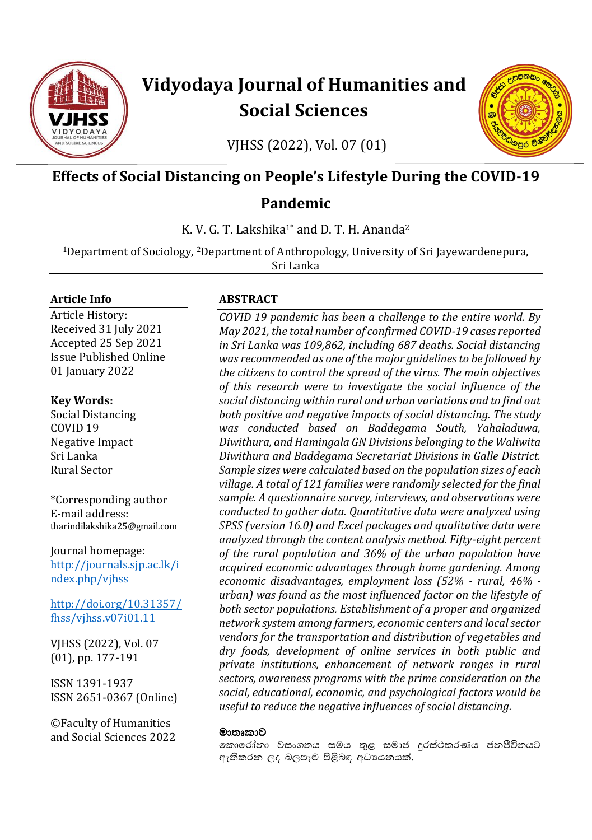

# **Vidyodaya Journal of Humanities and Social Sciences**

**POODO** 

**SP**  $\bullet$  $\circ$ 

VJHSS (2022), Vol. 07 (01)

# **Effects of Social Distancing on People's Lifestyle During the COVID-19**

# **Pandemic**

K. V. G. T. Lakshika<sup>1\*</sup> and D. T. H. Ananda<sup>2</sup>

<sup>1</sup>Department of Sociology, 2Department of Anthropology, University of Sri Jayewardenepura, Sri Lanka

## **Article Info**

Article History: Received 31 July 2021 Accepted 25 Sep 2021 Issue Published Online 01 January 2022

## **Key Words:**

Social Distancing COVID 19 Negative Impact Sri Lanka Rural Sector

\*Corresponding author E-mail address: tharindilakshika25@gmail.com

Journal homepage: [http://journals.sjp.ac.lk/i](http://journals.sjp.ac.lk/index.php/vjhss) [ndex.php/vjhss](http://journals.sjp.ac.lk/index.php/vjhss)

[http://doi.org/10.31357/](http://doi.org/10.31357/fhss/vjhss.v07i01.11) [fhss/vjhss.v07i01.11](http://doi.org/10.31357/fhss/vjhss.v07i01.11)

VJHSS (2022), Vol. 07 (01), pp. 177-191

ISSN 1391-1937 ISSN 2651-0367 (Online)

©Faculty of Humanities and Social Sciences 2022

## **ABSTRACT**

*COVID 19 pandemic has been a challenge to the entire world. By May 2021, the total number of confirmed COVID-19 cases reported in Sri Lanka was 109,862, including 687 deaths. Social distancing was recommended as one of the major guidelines to be followed by the citizens to control the spread of the virus. The main objectives of this research were to investigate the social influence of the social distancing within rural and urban variations and to find out both positive and negative impacts of social distancing. The study was conducted based on Baddegama South, Yahaladuwa, Diwithura, and Hamingala GN Divisions belonging to the Waliwita Diwithura and Baddegama Secretariat Divisions in Galle District. Sample sizes were calculated based on the population sizes of each village. A total of 121 families were randomly selected for the final sample. A questionnaire survey, interviews, and observations were conducted to gather data. Quantitative data were analyzed using SPSS (version 16.0) and Excel packages and qualitative data were analyzed through the content analysis method. Fifty-eight percent of the rural population and 36% of the urban population have acquired economic advantages through home gardening. Among economic disadvantages, employment loss (52% - rural, 46% urban) was found as the most influenced factor on the lifestyle of both sector populations. Establishment of a proper and organized network system among farmers, economic centers and local sector vendors for the transportation and distribution of vegetables and dry foods, development of online services in both public and private institutions, enhancement of network ranges in rural sectors, awareness programs with the prime consideration on the social, educational, economic, and psychological factors would be useful to reduce the negative influences of social distancing.*

### මාතෘකාව

කොරෝතා වසංගතය සමය තුළ සමාජ දුරස්ථකරණය ජනජීිවිතයට ඇතිකරන ලද බලපෑම පිළිබඳ අධායනයක්.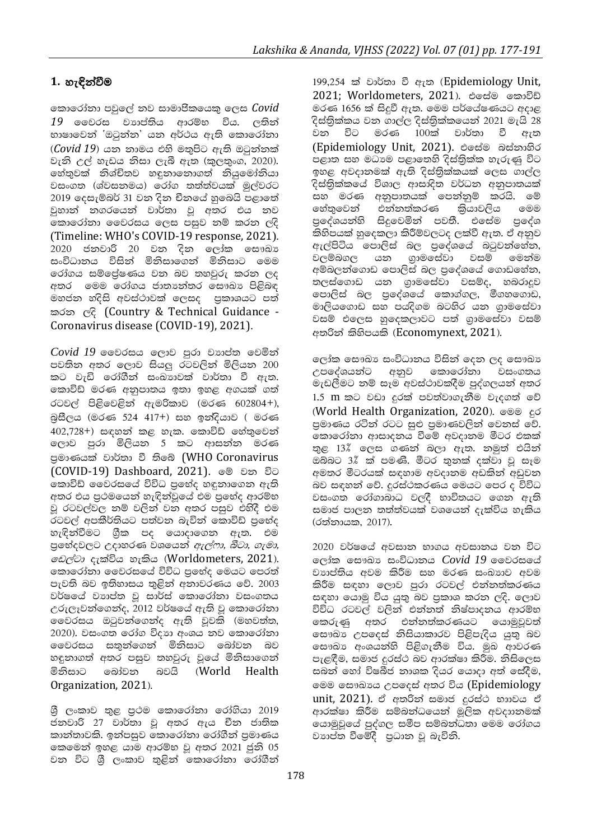# 1. හැඳින්වීම

කොරෝනා පවුලේ නව සාමාජිකයෙකු ලෙස Covid 19 මෛරස වහාප්තිය ආරම්භ විය. ලතින් භාෂාවෙන් `ඔටුන්න' යන අර්ථය ඇති කොරෝනා  $(Covid 19)$  යන නාමය එහි මතුපිට ඇති ඔටුන්නක් වැනි උල් හැඩය නිසා ලැබී ඇත (කුලතුංග, 2020). හේතුවක් නිශ්චිතව හඳුනානොගත් නියුමෝනියා වසංගත (ශ්වසනමය) රෝග තත්ත්වයක් මුල්වරට 2019 දෙසැම්බර් 31 වන දින චීනයේ හුබෙයි පළාතේ වුහාන් නගරයෙන් වාර්තා වූ අතර එය නව මිකාරෝනා මෛරසය ලෙස පසුව නම් කරන ලදි (Timeline: WHO's COVID-19 response, 2021). 2020 ජනවාරි 20 වන දින ලෝක සෞඛා සංවිධානය විසින් මිනිසාගෙන් මිනිසාට මෙම රෝගය සම්පේෂණය වන බව තහවුරු කරන ලද අතර මෙම රෝගය ජාතාහත්තර සෞඛා පිළිබඳ මහජන හදිසි අවස්ථාවක් ලෙසද පුකාශයට පත් කරන ලදි (Country & Technical Guidance -Coronavirus disease (COVID-19), 2021).

 $Covid$   $19$  මෛරසය ලොව පරා වාහුප්ත වෙමින් පවතින අතර ලොව සියලු රටවලින් මිලියන 200 කට වැඩි රෝගීන් සංඛාගවක් වාර්තා වී ඇත. කොවිඩ් මරණ අනුපාතය ඉතා ඉහළ අගයක් ගත් රටවල් පිළිවෙළින් ඇමරිකාව (මරණ 602804+), බසීලය (මරණ 524 417+) සහ ඉන්දියාව ( මරණ 402,728+) සඳහන් කළ හැක. කොවිඩ් හේතුවෙන් ලොව පුරා මිලියන 5 කට ආසන්න මරණ පුමාණයක් වාර්තා වී තිබේ (WHO Coronavirus (COVID-19) Dashboard, 2021). මේ වන විට කොවිඩ් වෛරසයේ විවිධ පුභේද හඳුනාගෙන ඇති අතර එය පුථමයෙන් හැඳින්වුයේ එම පුභේද ආරම්භ වූ රටවල්වල නම් වලින් වන අතර පසුව එහිදී එම රටවල් අපකීර්තියට පත්වන බැවින් කොවිඩ් පුභේද හැඳින්වීමට ගුීක පද යොදාගෙන ඇත. එම පුභේදවලට උදාහරණ වශයෙන් *ඇල්ෆා, බීටා, ගැමා, වෙල්ටා* දැක්විය හැකිය (Worldometers, 2021). කොරෝනා වෛරසයේ විවිධ පුභේද මෙයට පෙරත් පැවති බව ඉතිහාසය තුළින් අනාවරණය වේ. 2003 වර්ෂයේ වාහප්ත වූ සාර්ස් කොරෝනා වසංගතය උරුලෑවන්ගෙන්ද, 2012 වර්ෂයේ ඇති වූ කොරෝනා වෛරසය ඔටුවන්ගෙන්ද ඇති වූවකි (මහවත්ත, 2020). වසංගත රෝග විදහා අංශය නව කොරෝනා වෛරසය සතුන්ගෙන් මිනිසාට බෝවන බව හඳුනාගත් අතර පසුව තහවුරු වූයේ මිනිසාගෙන් මිනිසාට බෝවන බවයි (World Health Organization, 2021).

ශුී ලංකාව තුළ පුථම කොරෝනා රෝගියා 2019 ජනවාරි 27 වාර්තා වූ අතර ඇය චීන ජාතික කාන්තාවකි. ඉන්පසුව කොරෝනා රෝගීන් පුමාණය කෙමෙන් ඉහළ යාම ආරම්භ වු අතර 2021 ජුනි 05 වන විට ශී ලංකාව තුළින් කොරෝනා රෝගීන් 199,254 ක් වාර්තා වී ඇත (Epidemiology Unit, 2021; Worldometers, 2021). එසේම කොවිඩ් මරණ 1656 ක් සිදුවී ඇත. මෙම පර්යේෂණයට අදාළ දිස්තිුක්කය වන ගාල්ල දිස්තිුක්කයෙන් 2021 මැයි 28 විට මරණ 100ක් වාර්තා වී වන ඇත (Epidemiology Unit, 2021). එසේම බස්නාහිර පළාත සහ මධාාම පළාතෙහි දිස්තිුක්ක හැරුණු විට ඉහළ අවදානමක් ඇති දිස්තික්කයක් ලෙස ගාල්ල දිස්තික්කයේ විශාල ආසාදිත වර්ධන අනුපාතයක් සහ මරණ අනුපාතයක් පෙන්නුම් කරයි. මේ හේතුවෙන් එන්නත්කරණ කියාවලිය ෧මම පුදේශයන්හි සිදුවෙමින් පවතී. එසේම පුදේශ කිහිපයක් හුදෙකලා කිරීම්වලටද ලක්වී ඇත. ඒ අනුව ඇල්පිටිය පොලිස් බල පුදේශයේ බටුවන්නේන, වලම්බගල යන ගුාමසේවා වසම් මෙන්ම අම්බලන්ගොඩ පොලිස් බල පුදේශයේ ගොඩහේන, තලස්ගොඩ යන ගුාමසේවා වසම්ද, හබරාදුව පොලිස් බල පුදේශයේ කොග්ගල, මීගහගොඩ, මාලියගොඩ සහ පයදිගම බටහිර යන ගුාමසේවා වසම් එලෙස හුදෙකලාවට පත් ගුාමසේවා වසම් අතරින් කිහිපයකි (Economynext, 2021).

ලෝක සෞඛා සංවිධානය විසින් දෙන ලද සෞඛා උපදේශයන්ට අනුව කොරෝනා වසංගතය මැඩලීමට නම් සෑම අවස්ථාවකදීම පුද්ගලයන් අතර 1.5 m කට වඩා දුරක් පවත්වාගැනීම වැදගත් වේ (World Health Organization, 2020). මෙම දුර පුමාණය රටින් රටට සුළු පුමාණවලින් වෙනස් වේ. කොරෝතා ආසාදනය වීමේ අවදානම මීටර එකක් තුළ 13% ලෙස ගණන් බලා ඇත. නමුත් එයින් ඔබ්බට 3%් ක් පමණි. මීටර තුනක් දක්වා වූ සෑම අමතර මීටරයක් සඳහාම අවදානම අඩකින් අඩුවන බව සඳහන් වේ. දුරස්ථකරණය මෙයට පෙර ද විවිධ වසංගත රෝගාබාධ වලදී භාවිතයට ගෙන ඇති සමාජ පාලන තත්ත්වයක් වශයෙන් දැක්විය හැකිය (රත්නායක, 2017).

2020 වර්ෂයේ අවසාන භාගය අවසානය වන විට ලෝක සෞඛා සංවිධානය  $Covid$   $19$  වෛරසයේ වාාප්තිය අවම කිරීම සහ මරණ සංඛාාව අවම කිරීම සඳහා ලොව පුරා රටවල් එන්නත්කරණය සඳහා යොමු විය යුතු බව පුකාශ කරන ලදි. ලොව විවිධ රටවල් වලින් එන්නත් නිෂ්පාදනය ආරම්භ කෙරුණු අතර එන්නත්කරණයට යොමුවුවත් සෞඛා උපදෙස් නිසියාකාරව පිළිපැදිය යුතු බව සෞඛා අංශයන්හි පිළිගැනීම විය. මුඛ ආවරණ පැළඳීම, සමාජ දුරස්ථ බව ආරක්ෂා කිරීම. නිසිලෙස සබන් හෝ විෂබීජ නාශක දියර යොදා අත් සේදීම, මෙම සෞඛායෙ උපදෙස් අතර විය (Epidemiology unit, 2021). ඒ අතරින් සමාජ දුරස්ථ භාාවය ඒ ආරක්ෂා කිරීම සම්බන්ධයෙන් මූලික අවදාානමක් යොමුවූයේ පුද්ගල සමීප සම්බන්ධතා මෙම රෝගය වාහප්ත වීමේදී පුධාන වු බැවිනි.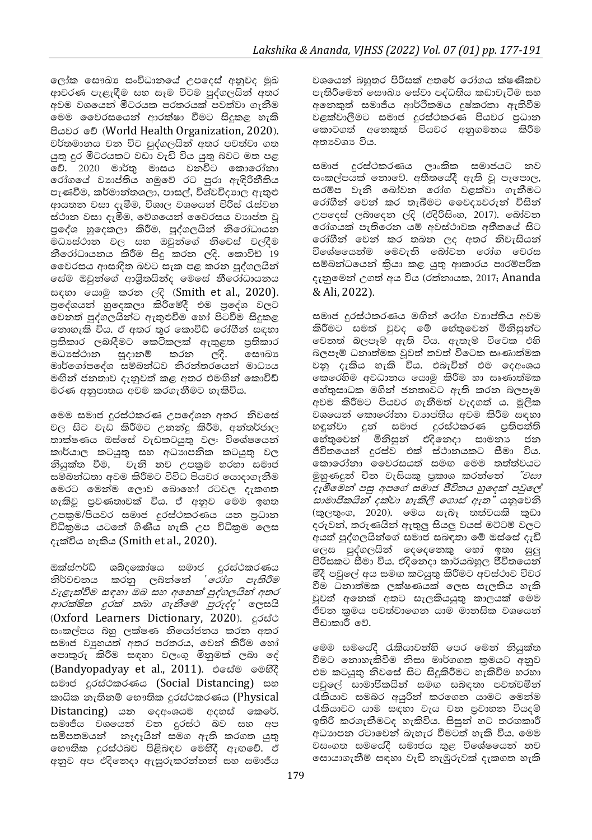ලෝක සෞඛා සංවිධානයේ උපදෙස් අනුවද මුඛ ආවරණ පැළැඳීම සහ සෑම විටම පුද්ගලයින් අතර අවම වශයෙන් මීටරයක පරතරයක් පවත්වා ගැනීම මෙම වෛරසයෙන් ආරක්ෂා වීමට සිදුකළ හැකි පියවර මේ (World Health Organization, 2020). වර්තමානය වන විට පුද්ගලයින් අතර පවත්වා ගත යුතු දුර මීටරයකට වඩා වැඩි විය යුතු බවට මත පළ වේ. 2020 මාර්තු මාසය වනවිට කොරෝනා රෝගයේ වාහප්තිය හමුවේ රට පුරා ඇඳිරිනීතිය පැණවීම, කර්මාන්තශලා, පාසල්, විශ්වවිදාහල ඇතුළු ආයතන වසා දැමීම, විශාල වශයෙන් පිරිස් රැස්වන ස්ථාන වසා දැමීම, වේගයෙන් වෛරසය වහාප්ත වූ පුදේශ හුදෙකලා කිරීම, පුද්ගලයින් නිරෝධායන මධාස්ථාන වල සහ ඔවුන්ගේ නිවෙස් වලදීම නීරෝධායනය කිරීම සිදු කරන ලදි. කොවිඩ් 19 මෛරසය ආසාදිත බවට සැක පළ කරන පුද්ගලයින් සේම ඔවුන්ගේ ආශිුතයින්ද මෙසේ නීරෝධායනය සඳහා යොමු කරන ලදි (Smith et al., 2020). පුදේශයන් හුදෙකලා කිරීමේදී එම පුදේශ වලට වෙනත් පුද්ගලයින්ට ඇතුළුවීම හෝ පිටවීම සිදුකළ නොහැකි විය. ඒ අතර තුර කොවිඩ් රෝගීන් සඳහා පුතිකාර ලබාදීමට කෙටිකලක් ඇතුළත පුතිකාර මධාසේථාන සූදානම් කරන ලදි. ඐෙබා මාර්ගෝපදේශ සම්බන්ධව නිරන්තරයෙන් මාධායෙ මඟින් ජනතාව දැනුවත් කළ අතර එමඟින් කොවිඩ් මරණ අනුපාතය අවම කරගැනීමට හැකිවිය.

මෙම සමාජ දුරස්ථකරණ උපදේශන අතර නිවසේ වල සිට වැඩ කිරීමට උනන්දු කිරීම, අන්තර්ජාල තාක්ෂණය ඔස්සේ වැඩකටයුතු වල: විශේෂයෙන් කාර්යාල කටයුතු සහ අධාාපනික කටයුතු වල නියුක්ත වීම, වැනි නව උපකුම හරහා සමාජ සම්බන්ධතා අවම කිරීමට විවිධ පියවර යොදාගැනීම මෙරට මෙන්ම ලොව බොහෝ රටවල දැකගත හැකිවූ පුවණතාවක් විය. ඒ අනුව මෙම ඉහත උපකුම/පියවර සමාජ දුරස්ථකරණය යන පුධාන විධිකුමය යටතේ ගිණිය හැකි උප විධිකුම ලෙස දැක්විය හැකිය (Smith et al., 2020).

ඔක්ස්ෆර්ඩ් ශබ්දකෝෂය සමාජ දුරස්ථකරණය නිර්වචනය කරනු ලබන්නේ *`රෝග පැතිරීම* වැළැක්වීම සඳහා ඔබ සහ අනෙක් පුද්ගලයින් අතර ආරක්ෂිත දුරක් තබා ගැනීමේ පුරුද්ද' ලෙසයි (Oxford Learners Dictionary, 2020). edeed සංකල්පය බහු ලක්ෂණ නියෝජනය කරන අතර සමාජ වාූහයත් අතර පරතරය, වෙන් කිරීම හෝ පොකුරු කිරීම සඳහා වලංගු මිනුමක් ලබා දේ (Bandyopadyay et al., 2011). එසේම මෙහිදී සමාජ දුරස්ථකරණය (Social Distancing) සහ කායික තැතිනම් භෞතික දුරස්ථකරණය (Physical Distancing) යන ලදඅංශයම අදහස් කෙරේ. සමාජීය වශයෙන් වන දුරස්ථ බව සහ අප සමීපතමයන් නෑදෑයින් සමග ඇති කරගත යුතු භෞතික දුරස්ථබව පිළිබඳව මෙහිදී ඇඟවේ. ඒ අනුව අප එදිනෙදා ඇසුරුකරන්නන් සහ සමාජීය

වශයෙන් බහුතර පිරිසක් අතරේ රෝගය ක්ෂණිකව පැතිරීමෙන් සෞඛා සේවා පද්ධතිය කඩාවැටීම සහ අනෙකුත් සමාජීය ආර්ථිකමය දුෂ්කරතා ඇතිවීම .<br>වළක්වාලීමට සමාජ දුරස්ථකරණ පියවර පුධාන<br>කොටගත් අනෙකුත් පියවර අනුගමනය කිරීම අතාවශා විය.

සමාජ දුරස්ථකරණය ලාංකික සමාජයට නව සංකල්පයක් නොවේ. අතීතයේදී ඇති වූ පැපොල, සරම්ප වැනි බෝවන රෝග වළක්වා ගැනීමට රෝගීන් වෙන් කර තැබීමට වෛදාවරුන් විසින් උපදෙස් ලබාදෙන ලදි (එදිරිසිංහ, 2017). බෝවන රෝගයක් පැතිරෙන යම් අවස්ථාවක අතීතයේ සිට රෝගීන් වෙන් කර තබන ලද අතර නිවැසියන් විශේෂයෙන්ම මෙවැනි බෝවන රෝග වෙරස සම්බන්ධයෙන් කියා කළ යුතු ආකාරය පාරම්පරික දැනුමෙන් උගත් අය විය (රත්නායක, 2017; Ananda & Ali, 2022).

සමාජ දුරස්ථකරණය මඟින් රෝග වාාප්තිය අවම කිරීමට සමත් වුවද මේ හේතුවෙන් මිනිසුන්ට වෙනත් බලපෑම් ඇති විය. ඇතැම් විටෙක එහි බලපෑම් ධනාත්මක වූවත් තවත් විටෙක සෘණාත්මක වනු දැකිය හැකි විය. එබැවින් එම ලදඅංශය කෙරෙහිම අවධානය යොමු කිරීම හා සෘණාත්මක හේතුසාධක මගින් ජනතාවට ඇති කරන බලපෑම අවම කිරීමට පියවර ගැනීමත් වැදගත් ය. මූලික වශයෙන් කොරෝනා වාාප්තිය අවම කිරීම සඳහා හඳුන්වා දුන් සමාජ දුරස්ථකරණ පුතිපත්ති හේතුවෙන් මිනිසුන් එදිනෙදා සාමනා ජන ජීවිතයෙන් දුරස්ව එක් ස්ථානයකට සීමා විය. කොරෝනා මෛරසයත් සමඟ මෙම තත්ත්වයට මුහුණදුන් චීන වැසියකු පුකාශ කරන්නේ "වසා දැමීමෙන් පසු අපගේ සමාජ ජීවිතය හුදෙක් පවුලේ සාමාජිකයින් දක්වා හැකිලී ගොස් ඇත" යනුවෙනි (කුලතුංග, 2020). මෙය සැබෑ තත්වයකි කුඩා දරුවන්, තරුණයින් ඇතුලු සියලු වයස් මට්ටම් වලට අයත් පුද්ගලයින්ගේ සමාජ සබඳතා මේ ඔස්සේ දැඩි ලෙස පුද්ගලයින් දෙදෙනෙකු හෝ ඉතා සුලු පිරිසකට සීමා විය. එදිනෙදා කාර්යබහුල ජීවිතයෙන් මිදී පවුලේ අය සමඟ කටයුතු කිරීමට අවස්ථාව විවර වීම ධනාත්මක ලක්ෂණයක් ලෙස සැලකිය හැකි වුවත් අනෙක් අතට සැලකියයුතු කාලයක් මෙම ජීවන කුමය පවත්වාගෙන යාම මානසික වශයෙන් පීඩාකාරී වේ.

මෙම සමයේදී රැකියාවන්හි පෙර මෙන් නියුක්ත වීමට නොහැකිවීම නිසා මාර්ගගත කුමයට අනුව එම කටයුතු නිවසේ සිට සිදුකිරීමට හැකිවීම හරහා පවුලේ සාමාජිකයින් සමඟ සබඳතා පවත්වමින් රැකියාව සමබර අයුරින් කරගෙන යාමට මෙන්ම රැකියාවට යාම සඳහා වැය වන පුවාහන වියදම් ඉතිරි කරගැනීමටද හැකිවිය. සිසුන් හට තරඟකාරී අධාහපන රටාවෙන් බැහැර වීමටත් හැකි විය. මෙම වසංගත සමයේදී සමාජය තුළ විශේෂයෙන් නව සොයාගැනීම් සඳහා වැඩි නැඹුරුවක් දැකගත හැකි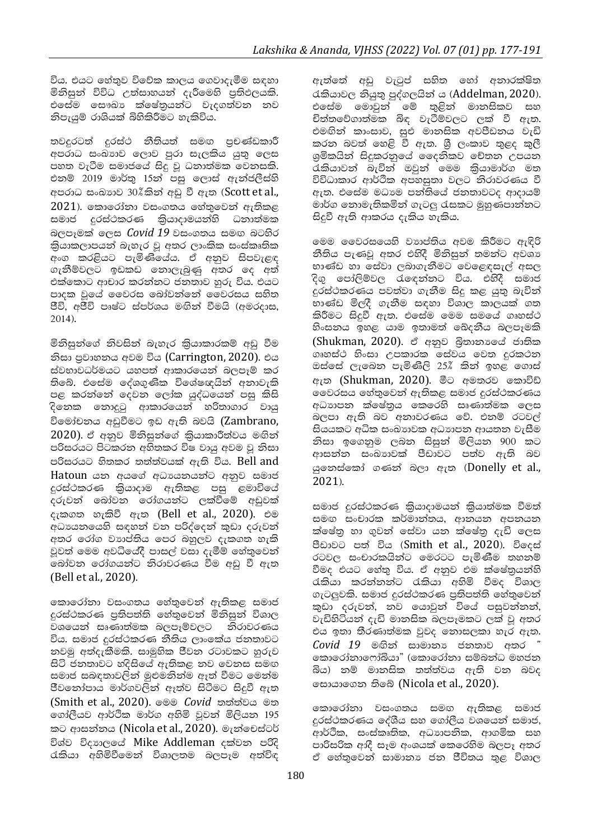විය. එයට හේතුව විවේක කාලය ගෙවාදැමීම සඳහා මිනිසුන් විවිධ උත්සාහයන් දැරීමෙහි පුතිඵලයකි. එසේම සෞඛා ක්ෂේතුයන්ට වැදගත්වන නව නිපැයුම් රාශියක් බිහිකිරීමට හැකිවිය.

තවදුරටත් දුරස්ථ නීතියත් සමඟ පුචණ්ඩකාරී අපරාධ සංඛාහව ලොව පුරා සැලකිය යුතු ලෙස පහත වැටීම සමාජයේ සිදු වූ ධනාත්මක වෙනසකි. එනම් 2019 මාර්තු 15න් පසු ලොස් ඇන්ජලීස්හි අපරාධ සංඛාගව 30%කින් අඩු වී ඇත (Scott et al.,  $2021$ ), කොරෝනා වසංගතය හේතුවෙන් ඇතිකළ සමාජ දුරස්ථකරණ කියාදාමයන්හි ධනාත්මක බලපෑමක් ලෙස Covid 19 වසංගතය සමඟ බටහිර කියාකලාපයන් බැහැර වු අතර ලාංකික සංස්කෘතික .<br>අංග කරළියට පැමිණියේය. ඒ අනුව සිපවැළඳ ගැනීම්වලට ඉඩකඩ නොලැබුණු අතර ලද අත් එක්කොට ආචාර කරන්නට ජනතාව හුරු විය. එයට පාදක වූයේ වෛරස බෝවත්තේ වෛරසය සහිත ජීවි, අජීවි පෘෂ්ට ස්පර්ශය මඟින් වීමයි (අමරදාස, 2014).

මිනිසුන්ගේ නිවසින් බැහැර කියාකාරකම් අඩු වීම නිසා පුවාහනය අවම විය (Carrington, 2020). එය ස්වභාවධර්මයට යහපත් ආකාරයෙන් බලපෑම් කර තිබේ. එසේම දේශගුණික විශේෂඥයින් අනාවැකි පළ කරත්තේ දෙවන ලෝක යුද්ධයෙන් පසු කිසි දිනෙක නොදුටු ආකාරයෙන් හරිතාගාර වායු විමෝචනය අඩුවීමට ඉඩ ඇති බවයි (Zambrano, 2020). ඒ අනුව මිනිසුන්ගේ කියාකාරීත්වය මඟින් පරිසරයට පිටකරන අහිතකර විෂ වායු අවම වු නිසා පරිසරයට හිතකර තත්ත්වයක් ඇති විය. Bell and Hatoun යන අයගේ අධායනයන්ට අනුව සමාජ දුරස්ථකරණ කියාදාම ඇතිකළ පසු ළමාවියේ දරුවන් බෝවන රෝගයන්ට ලක්වීමේ අඩුවක් දැකගත හැකිවී ඇත (Bell et al., 2020). එම අධායනයෙහි සඳහන් වන පරිද්දෙන් කුඩා දරුවන් අතර රෝග වාහප්තිය පෙර බහුලව දැකගත හැකි වූවත් මෙම අවධියේදී පාසල් වසා දැමීම් හේතුවෙන් බෝවන රෝගයන්ට නිරාවරණය වීම අඩු වී ඇත (Bell et al., 2020).

කොරෝනා වසංගතය හේතුවෙන් ඇතිකළ සමාජ දුරස්ථකරණ පුතිපත්ති හේතුවෙන් මිනිසුන් විශාල වශයෙන් සෘණාත්මක බලපෑම්වලට නිරාවරණය විය. සමාජ දුරස්ථකරණ නීතිය ලාංඉක්ය ජනතාවට නවමු අත්දැකීමකි. සාමූහික ජීවන රටාවකට හුරුව සිටි ජනතාවට හදිසියේ ඇතිකළ නව වෙනස සමඟ සමාජ සබඳතාවලින් මුළුමනින්ම ඈත් වීමට මෙන්ම ජීවතෝපාය මාර්ගවලින් ඇත්ව සිටීමට සිදුවී ඇත (Smith et al., 2020). මෙම *Covid* තත්ත්වය මත ගෝලීයව ආර්ථික මාර්ග අහිමි වූවන් මිලියන 195 කට ආසන්නය (Nicola et al., 2020). මැන්චෙස්ටර් විශ්ව විදහාලයේ Mike Addleman දක්වන පරිදි රැකියා අහිමිවීමෙන් විශාලතම බලපෑම අත්විඳ ඇත්තේ අඩු වැටුප් සහිත හෝ අනාරක්ෂිත රකියාවල නියුතු පුද්ගලයින් ය (Addelman, 2020). එසේම මොවුන් මේ තුළින් මානසිකව සහ චිත්තවේගාත්මක බිඳ වැටීම්වලට ලක් වී ඇත. එමඟින් කාංසාව, සුඑ මානසික අවපීඩනය වැඩි කරන බවත් හෙළි වී ඇත. ශී ලංකාව තුළද කුලී ශුමිකයින් සිදුකරනුයේ දෛනිකව චේතන උපයන රැකියාවන් බැවින් ඔවුන් මෙම කියාමාර්ග මත විවිධාකාර ආර්ථික අපහසුතා වලට තිරාවරණය වී ඇත. එසේම මධාාම පන්තියේ ජනතාවටද ආදායම් මාර්ග නොමැතිකමින් ගැටලු රැසකට මුහුණපාන්නට සිදුවී ඇති ආකරය දැකිය හැකිය.

මෙම වෛරසයෙහි වාාප්තිය අවම කිරීමට ඇඳිරි නීතිය පැණවූ අතර එහිදී මිනිසුන් තමන්ට අවශා භාණ්ඩ හා සේවා ලබාගැනීමට වෙළෙඳසැල් අසල දිගු පෝලිම්වල රැඳෙන්නට විය. එහිදී සමාජ දුරස්ථකරණය පවත්වා ගැනීම සිදු කළ යුතු බැවින් භාණ්ඩ මිලදී ගැනීම සඳහා විශාල කාලයක් ගත කිරීමට සිදුවී ඇත. එසේම මෙම සමයේ ගෘහස්ථ හිංසනය ඉහළ යාම ඉතාමත් ඛෙදනීය බලපෑමකි (Shukman, 2020). ඒ අනුව බිතානායේ ජාතික ගෘහස්ථ හිංසා උපකාරක සේවය වෙත දුරකථන ඔස්සේ ලැබෙන පැමිණිලි 25% කින් ඉහළ ගොස් ඇත (Shukman, 2020). මීට අමතරව කොවිඩ් වෛරසය හේතුවෙන් ඇතිකළ සමාජ දුරස්ථකරණය අධාහපන ක්ෂේතුය කෙරෙහි සෘණාත්මක ලෙස බලපා ඇති බව අනාවරණය වේ. එනම් රටවල් සියයකට අධික සංඛාගවක අධාගපන ආයතන වැසීම නිසා ඉගෙනුම ලබන සිසුන් මිලියන 900 කට ආසන්න සංඛාගවක් පීඩාවට පත්ව ඇති බව යුතෙස්කෝ ගණන් බලා ඇත (Donelly et al.,  $2021$ ).

සමාජ දුරස්ථකරණ කියාදාමයන් කියාත්මක වීමත් සමඟ සංචාරක කර්මාන්තය, ආනයන අපනයන ක්ෂේතු හා ගුවන් සේවා යන ක්ෂේතු දැඩි ලෙස පීඩාවට පත් විය (Smith et al., 2020). විදෙස් රටවල සංචාරකයින්ට මෙරටට පැමිණීම තහනම් වීමද එයට හේතු විය. ඒ අනුව එම ක්ෂේතුයන්හි රකියා කරන්නන්ට රැකියා අහිමි වීමද විශාල ගැටලුවකි. සමාජ දුරස්ථකරණ පුතිපත්ති හේතුවෙන් කුඩා දරුවන්, නව යොවුන් වියේ පසුවන්නන්, වැඩිහිටියන් දැඩි මානසික බලපෑමකට ලක් වූ අතර එය ඉතා තීරණාත්මක වුවද නොසලකා හැර ඇත.  $Covid$  19 මඟින් සාමානා ජනතාව අතර " කොරෝනාෆෝබියා" (කොරෝනා සම්බන්ධ මහජන බිය) නම් මානසික තත්ත්වය ඇති වන බවද සොයාගෙන තිබේ (Nicola et al., 2020).

කොරෝනා වසංගතය සමඟ ඇතිකළ සමාජ දුරස්ථකරණය දේශීය සහ ගෝලීය වශයෙන් සමාජ, ආර්ථික, සංස්කෘතික, අධාපනික, ආගමික සහ පාරිසරික ආදී සෑම අංශයක් කෙරෙහිම බලපෑ අතර ඒ හේතුවෙන් සාමානා ජන ජීවිතය තුළ විශාල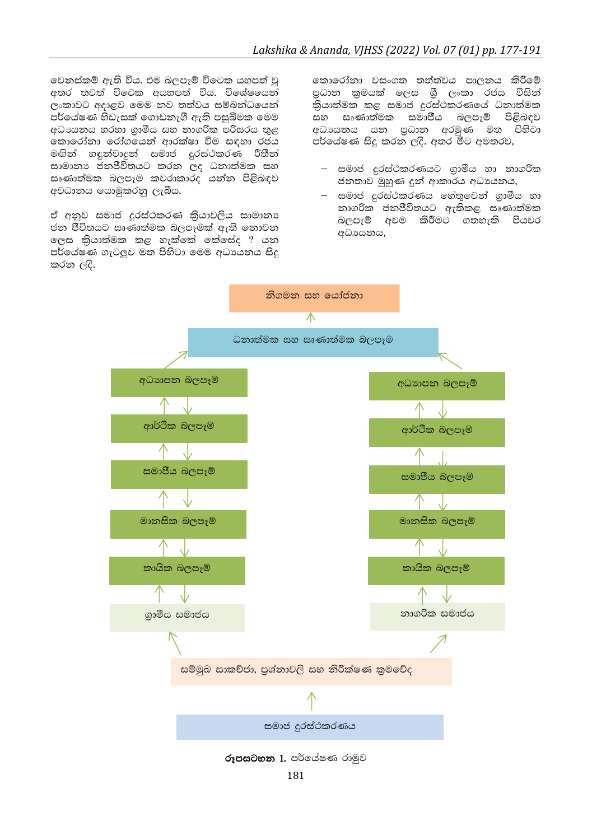වෙනස්කම් ඇති විය. එම බලපෑම් විටෙක යහපත් වු අතර තවත් විටෙක අයහපත් විය. විශේෂයෙන් ලංකාවට අදාළව මෙම නව තත්වය සම්බන්ධයෙන් පර්යේෂණ හිඩැසක් ගොඩනැගී ඇති පසුබිමක මෙම අධායනය හරහා ගුාමීය සහ නාගරික පරිසරය තුළ කොරෝනා රෝගයෙන් ආරක්ෂා වීම සඳහා රජය මඟින් හඳුන්වාදූන් සමාජ දුරස්ථකරණ රීතීන් සාමානා ජනජීවිතයට කරන ලද ධනාත්මක සහ සෘණාත්මක බලපෑම කවරාකාරද යන්න පිළිබඳව අවධානය යොමුකරනු ලැබීය.

ඒ අනුව සමාජ දුරස්ථකරණ කිුයාවලිය සාමානා ජන ජීවිතයට සෘණාත්මක බලපෑමක් ඇති නොවන ලෙස කියාත්මක කළ හැක්කේ කේසේද ? යන පර්යේෂණ ගැටලුව මත පිහිටා මෙම අධායනය සිදු කරන ලදි.

කොරෝනා වසංගත තත්ත්වය පාලනය කිරීමේ පුධාන කුමයක් ලෙස ශීු ලංකා රජය විසින් කියාත්මක කළ සමාජ දුරස්ථකරණයේ ධනාත්මක සහ සෘණාත්මක සමාජීය බලපෑම් පිළිබඳව අධායනය යන පුධාන අරමුණ මත පිහිටා පර්යේෂණ සිදු කරන ලදි. අතර මීට අමතරව,

- සමාජ දුරස්ථකරණයට ගුාමීය හා නාගරික ජනතාව මුහුණ දුන් ආකාරය අධායනය,
- සමාජ දුරස්ථකරණය හේතුවෙන් ගුාමීය හා නාගරික ජනජීවිතයට ඇතිකළ සෘණාත්මක බලපෑම් අවම කිරීමට ගතහැකි පියවර අධායනය,



රූපසටහන 1. පර්යේෂණ රාමුව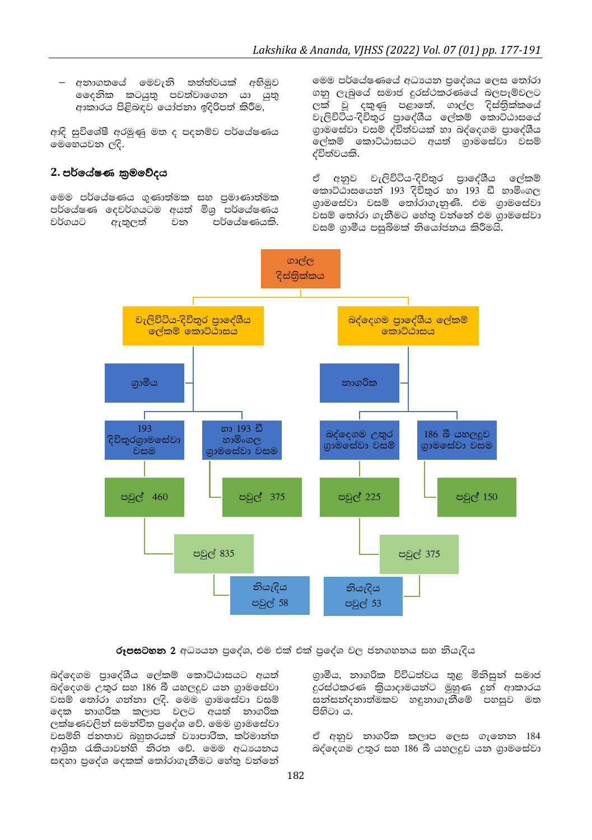– අනාගතයේ මෙවැනි තත්ත්වයක් අභිමුව මදෙනික කටයුතු පවත්වාගෙන යා යුතු ආකාරය පිළිබඳව යෝජනා ඉදිරිපත් කිරීම,

ආදි සුවිශේෂී අරමුණු මත ද පදනම්ව පර්යේෂණය මෙහෙයවන ලදි.

## 2. පර්යේෂණ කුමවේදය

මෙම පර්යේෂණය ගුණාත්මක සහ පුමාණාත්මක පර්යේෂණ දෙවර්ගයටම අයත් මිශු පර්යේෂණය වර්ගයට ඇතුලත් වන පර්ලය්ෂණයකි. මෙම පර්යේෂණයේ අධාපයන පුදේශය ලෙස තෝරා ගනු ලැබුයේ සමාජ දුරස්ථකරණයේ බලපෑම්වලට ලක් වූ දකුණු පළාතේ, ගාල්ල දිස්තිුක්කයේ -<br>වැලිවිටිය-දිවිතුර පාලේශීය ලේකම් කොට්ඨාසයේ<br>ගුාමසේවා වසම් ද්විත්වයක් හා බද්දෙගම පාලේශීය ලේකම් කොට්ඨාසයට අයත් ගාමසේවා වසම් ද්විත්වයකි.

ඒ අනුව වැලිවිටිය-දිවිතුර පුාදේශීය ලේකම් කොට්ඨාසයෙන් 193 දිවිතුර හා 193 ඩී හාමිංගල ගාමසේවා වසම් තෝරාගැනුණි. එම ගුාමසේවා වසම් තෝරා ගැනීමට හේතු වන්නේ එම ගුාමසේවා වසම් ගුාමීය පසුබිමක් නියෝජනය කිරීමයි.



#### රූපසටහන 2 අධායන පුදේශ, එම එක් එක් පුදේශ වල ජනගහනය සහ නියැදිය

බද්දෙගම පාදේශීය ලේකම් කොට්ඨාසයට අයත් බද්දෙගම උතුර සහ 186 බී යහලදුව යන ගාමසේවා ිසම් තෝරා ගන්නා ලදි. මෙම ගුාමසේවා වසම්<br>ලදක නාගරික කලාප වලට අයත් නාගරික ලක්ෂණවලින් සමන්විත පුදේශ වේ. මෙම ගුාමසේවා වසම්හි ජනතාව බහුතරයක් වාහපාරික, කර්මාන්ත ආශිත රැකියාවන්හි නිරත වේ. මෙම අධායනය සඳහා පුදේශ දෙකක් තෝරාගැනීමට හේතු වන්නේ

ගුාමීය, නාගරික විවිධත්වය තුළ මිනිසුන් සමාජ දුරස්ථකරණ කියාදාමයන්ට මුහුණ දුන් ආකාරය සන්සන්දනාත්මකව හඳුනාගැනීමේ පහසුව මත පිහිටා ය.

ඒ අනුව නාගරික කලාප ලෙස ගැනෙන 184 බද්දෙගම උතුර සහ 186 බී යහලදූව යන ගුාමසේවා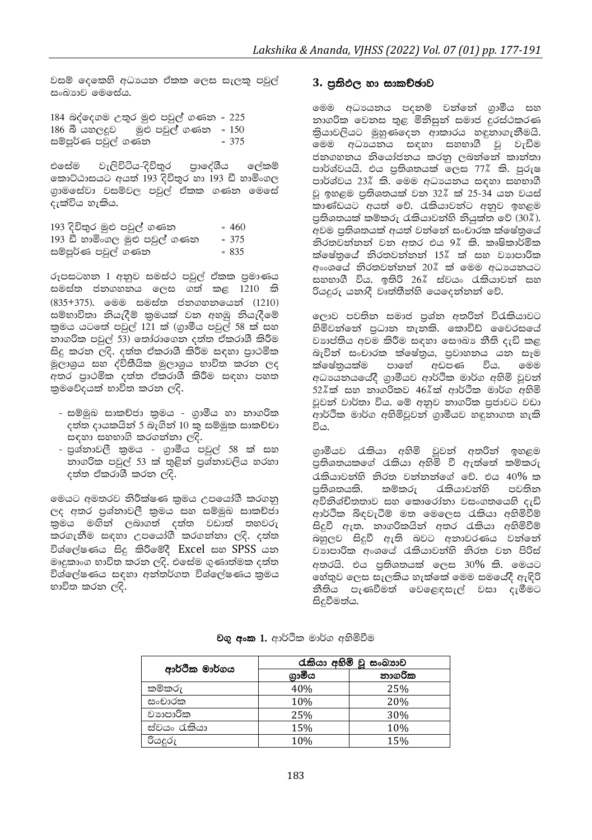වසම් දෙකෙහි අධාපයන ඒකක ලෙස සැලකූ පවුල් සංඛාහව මෙසේය.

184 බද්දෙගම උතුර මුළු පවුල් ගණන = 225 186 බී යහලදුව මුළු පවුල් ගණන = 150 සම්පූර්ණ පවුල් ගණන  $= 375$ 

එසේම වැලිවිටිය-දිවිතුර පුාදේශීය ලේකම් කොට්ඨාසයට අයත් 193 දිවිතුර හා 193 ඩී හාමිංගල ගුාමසේවා වසම්වල පවුල් ඒකක ගණන මෙසේ දැක්විය හැකිය.

| 193 දිවිතුර මුළු පවුල් ගණන    | $= 460$ |
|-------------------------------|---------|
| 193 ඩී හාමිංගල මුළු පවුල් ගණන | $= 375$ |
| සම්පූර්ණ පවුල් ගණන            | $= 835$ |

රූපසටහන 1 අනුව සමස්ථ පවුල් ඒකක පුමාණය සමස්ත ජනගහනය ලෙස ගත් කළ 1210 කි (835+375). මෙම සමස්ත ජනගහනයෙන් (1210) සම්භාවිතා නියැදීම් කුමයක් වන අහඹු නියැදීමේ කුමය යටතේ පවුල් 121 ක් (ගුාමීය පවුල් 58 ක් සහ නාගරික පවුල් 53) තෝරාගෙන දත්ත ඒකරාශී කිරීම සිදු කරන ලදි. දත්ත ඒකරාශී කිරීම සඳහා පුාථමික මූලාශුය සහ ද්විතීයික මූලාශුය භාවිත කරන ලද අතර පුාථමික දත්ත ඒකරාශී කිරීම සඳහා පහත කුමවේදයක් භාවිත කරන ලදි.

- සම්මුඛ සාකච්ජා කුමය ගුාමීය හා නාගරික දත්ත දායකයින් 5 බැගින් 10 කු සම්මුක සාකච්චා සඳහා සහභාගි කරගන්නා ලදි.
- පුශ්තාවලී කුමය ගුාමීය පවුල් 58 ක් සහ නාගරික පවුල් 53 ක් තුළින් පුශ්නාවලිය හරහා දත්ත ඒකරාශී කරන ලදි.

මෙයට අමතරව නිරීක්ෂණ කුමය උපයෝගී කරගනු ලද අතර පුශ්තාවලී කුමය සහ සම්මුඛ සාකච්ජා කුමය මඟින් ලබාගත් දත්ත වඩාත් තහවරු කරගැනීම සඳහා උපයෝගී කරගන්නා ලදි. දත්ත විශ්ලේෂණය සිදු කිරීමේදී Excel සහ SPSS යන මෘදුකාංග භාවිත කරන ලදි. එසේම ගුණාත්මක දත්ත විශ්ලේෂණය සඳහා අන්තර්ගත විශ්ලේෂණය කුමය භාවිත කරන ලදි.

#### 3. පුතිඵල හා සාකච්ඡාව

මෙම අධායනය පදනම් වන්නේ ගුාමීය සහ නාගරික වෙනස තුළ මිනිසුන් සමාජ දුරස්ථකරණ තියාවලියට මුහුණදෙන ආකාරය හඳුනාගැනීමයි. මෙම අධායනය සඳහා සහභාගී වූ වැඩිම ජනගහනය නියෝජනය කරනු ලබන්නේ කාන්තා පාර්ශ්වයයි. එය පුතිශතයක් ලෙස 77% කි. පුරුෂ පාර්ශ්වය 23% කි. මෙම අධාපයනය සඳහා සහභාගී වු ඉහළම පුතිශතයක් වන 32% ක් 25-34 යන වයස් කාණ්ඩයට අයත් වේ. රැකියාවන්ට අනුව ඉහළම පුතිශතයක් කම්කරු රැකියාවන්හි නියුක්ත වේ (30%). අවම පුතිශතයක් අයත් වන්නේ සංචාරක ක්ෂේතුයේ තිරතවත්තත් වන අතර එය 9% කි. කෘෂිකාර්මික ක්ෂේතුයේ තිරතවත්තත් 15% ක් සහ වාහපාරික අංංශයේ නිරතවත්තන් 20% ක් මෙම අධායනයට සහභාගී විය. ඉතිරි 26% ස්වයං රැකියාවන් සහ රියදුරු යනාදී වෘත්තීන්හි යෙදෙන්නන් වේ.

ලොව පවතින සමාජ පුශ්ත අතරින් විරැකියාවට හිමිවන්නේ පුධාන තැනකි. කොවිඩ් වෛරසයේ වාාප්තිය අවම කිරීම සඳහා සෞඛා නීති දැඩි කළ බැවින් සංචාරක ක්ෂේතුය, පුවාහනය යන සෑම ක්ෂේතයක්ම පාහේ අඩපණ විය. මෙම අධාපයනයයේදී ගුාමීයව ආර්ථික මාර්ග අහිමි වුවන් 52%ක් සහ නාගරිකව 46%ක් ආර්ථික මාර්ග අහිමි වූවන් වාර්තා විය. මේ අනුව නාගරික පුජාවට වඩා ආර්ථික මාර්ග අහිමිවූවන් ගුාමීයව හඳුනාගත හැකි විය.

ගුාමීයව රැකියා අහිමි වුවන් අතරින් ඉහළම පුතිශතයකගේ රැකියා අහිමි වී ඇත්තේ කම්කරු රැකියාවන්හි නිරත වන්නන්ගේ වේ. එය 40% ක පුතිශතයකි. කම්කරු රැකියාවන්හි පවතින අවිනිශ්චිතතාව සහ කොරෝනා වසංගතයෙහි දැඩි ආර්ථික බිඳවැටීම් මත මෙලෙස රැකියා අහිමිවීම් සිදුවී ඇත. නාගරිකයින් අතර රැකියා අහිමිවීම් බහුලව සිදුවී ඇති බවට අනාවරණය වන්නේ වාාපාරික අංශයේ රැකියාවන්හි නිරත වන පිරිස් අතරයි. එය පුතිශතයක් ලෙස 30% කි. මෙයට හේතුව ලෙස සැලකිය හැක්කේ මෙම සමයේදී ඇඳිරි නීතිය පැණවීමත් වෙළෙඳසැල් වසා දැමීමට සිදුවීමත්ය.

**වගු අංක 1.** ආර්ථික මාර්ග අහිමිවීම

| ආර්ථික මාර්ගය | රැකියා අහිමි වු සංඛාාව |        |
|---------------|------------------------|--------|
|               | ගාමිය                  | නාගරික |
| කම්කරු        | 40%                    | 25%    |
| සංචාරක        | 10%                    | 20%    |
| වාහාපාරික     | 25%                    | 30%    |
| ස්වයං රැකියා  | 15%                    | 10%    |
| රියදුරු       | 10%                    | 15%    |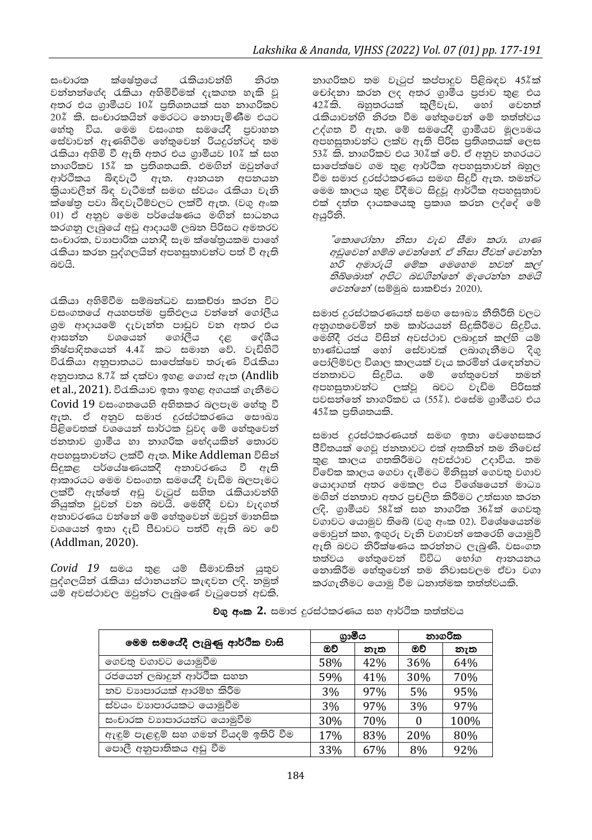සංචාරක ක්ෂේතුයේ රැකියාවන්හි නිරත වන්නන්ගේද රැකියා අහිමිවීමක් දැකගත හැකි වු අතර එය ගුාමීයව 10% පුතිශතයක් සහ නාගරිකව 20% කි. සංචාරකයින් මෙරටට නොපැමිණීම එයට හේතු විය. මෙම වසංගත සමයේදී පුවාහන සේවාවන් ඇණහිටීම හේතුවෙන් රියදුරන්ටද තම රැකියා අහිමි වී ඇති අතර එය ගුාමීයව 10% ක් සහ නාගරිකව 15% ක පුතිශතයකි. එමඟින් ඔවුන්ගේ ආර්ථිකය බිඳවැටී ඇත. ආනයන අපනයන කියාවලීන් බිඳ වැටීමත් සමඟ ස්වයං රැකියා වැනි ක්ෂේතු පවා බිඳවැටීම්වලට ලක්වී ඇත. (වගු අංක 01) ඒ අනුව මෙම පර්යේෂණය මඟින් සාධනය කරගනු ලැබුයේ අඩු ආදායම් ලබන පිරිසට අමතරව සංචාරක, වාහපාරික යනාදී සෑම ක්ෂේතුයකම පාහේ රැකියා කරන පුද්ගලයින් අපහසුතාවන්ට පත් වී ඇති බවයි.

රැකියා අහිමිවීම සම්බන්ධව සාකච්ඡා කරන විට වසංගතයේ අයහපත්ම පතිඵලය වත්තේ ගෝලීය ශුම ආදායමේ දැවැන්ත පාඩුව වන අතර එය ආසන්න වශයෙන් ගෝලීය දේශීය  $\mathbf{c} \in$ නිෂ්පාදිතයෙන් 4.4% කට සමාන වේ. වැඩිහිටි විරැකියා අනුපාතයට සාපේක්ෂව තරුණ විරැකියා අනුපාතය 8.7% ක් දක්වා ඉහළ ගොස් ඇත (Andlib et al., 2021). විරැකියාව ඉතා ඉහළ අගයක් ගැනීමට Covid 19 වසංගතයෙහි අහිතකර බලපෑම හේතු වී ඇත. ඒ අනුව සමාජ දුරස්ථකරණය සෞඛා පිළිවෙතක් වශයෙන් සාර්ථක වුවද මේ හේතුවෙන් ජනතාව ගුාමීය හා නාගරික භේදයකින් තොරව අපහසුතාවන්ට ලක්වී ඇත. Mike Addleman විසින් සිදුකළ පර්යේෂණයකදී අනාවරණය වී ඇති ආකාරයට මෙම වසංගත සමයේදී වැඩිම බලපෑමට ලක්වී ඇත්තේ අඩු වැටුප් සහිත රැකියාවන්හි නියුක්ත වූවන් වන බවයි. මෙහිදී වඩා වැදගත් අනාවරණය වන්නේ මේ හේතුවෙන් ඔවුන් මානසික වශයෙන් ඉතා දැඩි පීඩාවට පත්වී ඇති බව වේ (Addlman, 2020).

Covid 19 සමය තුළ යම් සීමාවකින් යුතුව පුද්ගලයින් රැකියා ස්ථානයන්ට කැඳවන ලදි. නමුත් යම් අවස්ථාවල ඔවුන්ට ලැබුණේ වැටුපෙන් අඩකි. නාගරිකව තම වැටුප් කප්පාදුව පිළිබඳව 45%ක් චෝදනා කරන ලද අතර ගුාමීය පුජාව තුළ එය 42%කි. බහුතරයක් කුලීවැඩ, හෝ වෙනත් රැකියාවන්හි නිරත වීම හේතුවෙන් මේ තත්ත්වය උද්ගත වී ඇත. මේ සමයේදී ගුාමීයව මූලාමය අපහසුතාවන්ට ලක්ව ඇති පිරිස පුතිශතයක් ලෙස 53% කි. නාගරිකව එය 30%ක් වේ. ඒ අනුව නගරයට සාපේක්ෂව ගම තුළ ආර්ථික අපහසුතාවන් බහුල වීම සමාජ දුරස්ථකරණය සමඟ සිදුවී ඇත. තමන්ට මෙම කාලය තුළ විදීමට සිදුවූ ආර්ථික අපහසුතාව එක් දත්ත දායකයෙකු පුකාශ කරන ලද්දේ මේ අයුරිනි.

"කොරෝනා නිසා වැඩ සීමා කරා. ගාණ අඩුවෙන් හම්බ වෙන්නේ. ඒ නිසා ජීවත් වෙන්න හරි අමාරුයි මේක මෙහෙම තවත් කල් තිබ්බොත් අපිට බඩගින්නේ මැරෙන්න තමයි *වෙන්නේ* (සම්මුඛ සාකච්ජා 2020).

සමාජ දුරස්ථකරණයත් සමඟ සෞඛා නීතිරීති වලට අනුගතුවෙමින් තම කාර්යයන් සිදුකිරීමට සිදුවිය. මෙහිදී රජය විසින් අවස්ථාව ලබාදුන් කල්හි යම් භාණ්ඩයක් හෝ සේවාවක් ලබාගැනීමට දිගු පෝලිම්වල විශාල කාලයක් වැය කරමින් රැඳෙන්නට සිදුවිය. මේ හේතුවෙන් තමන් ජනතාවට අපහසුතාවන්ට ලක්වූ බවට වැඩිම පිරිසක් පවසන්නේ නාගරිකව ය (55%). එසේම ගුාමීයව එය 45%ක පුතිශතයකි.

සමාජ දුරස්ථකරණයත් සමඟ ඉතා වෙහෙසකර ජීවිතයක් ගෙවු ජනතාවට එක් අතකින් තම නිවෙස් තුළ කාලය ගතකිරීමට අවස්ථාව උදාවිය. තම විවේක කාලය ගෙවා දැමීමට මිනිසුන් ගෙවතු වගාව යොදාගත් අතර මෙකල එය විශේෂයෙන් මාධා මගින් ජනතාව අතර පුචලිත කිරීමට උත්සාහ කරන ලදි. ගුාමීයව 58%ික් සහ නාගරික 36%ීක් ගෙවතු වගාවට යොමුව තිබේ (වගු අංක 02). විශේෂයෙන්ම මොවුන් කහ, ඉඟුරු වැනි වගාවන් කෙරෙහි යොමුවී ඇති බවට නිරීක්ෂණය කරන්නට ලැබුණි. වසංගත තත්වය හේතුවෙන් විවිධ හෝග ආනයනය නොකිරීම හේතුවෙන් තම නිවාසවලම ඒවා වගා කරගැනීමට යොමු වීම ධනාත්මක තත්ත්වයකි.

| මෙම සමයේදී ලැබුණු ආර්ථික වාසි          | ගාමීය |     | නාගරික   |      |
|----------------------------------------|-------|-----|----------|------|
|                                        | ඔව්   | නැත | ඔව්      | නැත  |
| ගෙවතු වගාවට යොමුවීම                    | 58%   | 42% | 36%      | 64%  |
| රජයෙන් ලබාදුන් ආර්ථික සහන              | 59%   | 41% | 30%      | 70%  |
| නව වාාපාරයක් ආරම්භ කිරීම               | 3%    | 97% | 5%       | 95%  |
| ස්වයං වාහපාරයකට යොමුවීම                | 3%    | 97% | 3%       | 97%  |
| සංචාරක වාහපාරයන්ට යොමුවීම              | 30%   | 70% | $\Omega$ | 100% |
| ඇඳුම් පැළඳුම් සහ ගමන් වියදම් ඉතිරි වීම | 17%   | 83% | 20%      | 80%  |
| පොලී අනුපාතිකය අඩු වීම                 | 33%   | 67% | 8%       | 92%  |

වගු අංක 2. සමාජ දුරස්ථකරණය සහ ආර්ථික තත්ත්වය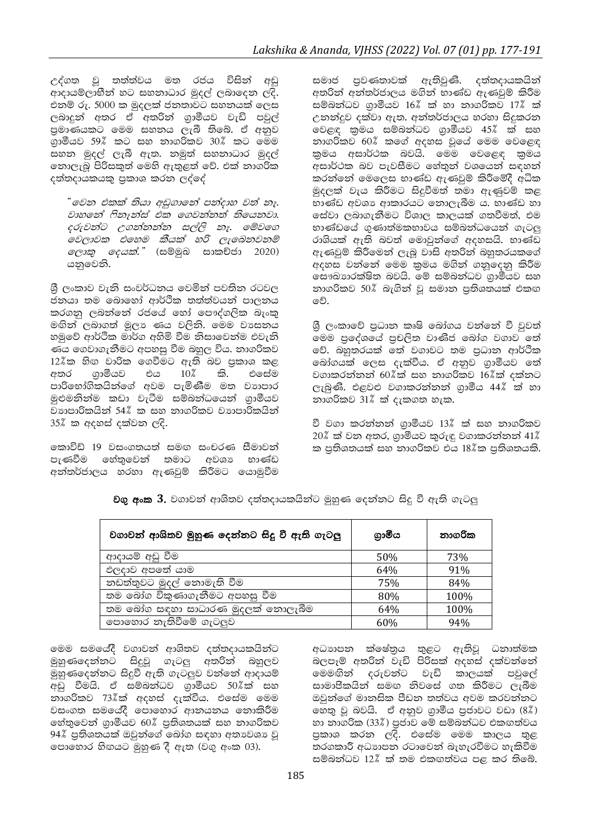උද්ගත වූ තත්ත්වය මත රජය විසින් අඩු ආදායම්ලාභීන් හට සහනාධාර මුදල් ලබාදෙන ලදි. එනම් රු. 5000 ක මුදලක් ජනතාවට සහනයක් ලෙස ලබාදුන් අතර ඒ අතරින් ගුාමීයව වැඩි පවුල් පුමාණයකට මෙම සහනය ලැබී තිබේ. ඒ අනුව ගුාමීයව 59% කට සහ නාගරිකව 30% කට මෙම සහන මුදල් ලැබී ඇත. නමුත් සහනාධාර මුදල් නොලැබූ පිරිසකුත් මෙහි ඇතුළත් වේ. එක් නාගරික දත්තදායකයකු පුකාශ කරන ලද්දේ

"වෙන එකක් තියා අඩුගානේ පන්දාහ වත් නෑ. වාහනේ ෆිනෑන්ස් එක ගෙවන්නත් තියෙනවා. දරුවන්ට උගන්නන්න සල්ලි නෑ. මේවගෙ මවලාවක එහෙම කීයක් හරි ලැබෙනවනම් *ලොකු දෙයක්.*" (සම්මුඛ සාකච්ජා 2020) යනුවෙනි.

ශී ලංකාව වැනි සංවර්ධනය වෙමින් පවතින රටවල ජනයා තම බොහෝ ආර්ථික තත්ත්වයන් පාලනය කරගනු ලබන්නේ රජයේ හෝ පෞද්ගලික බැංකු මඟින් ලබාගත් මූලා ණය වලිනි. මෙම වාසනය හමුවේ ආර්ථික මාර්ග අහිමි වීම නිසාවෙන්ම එවැනි ණය ගෙවාගැනීමට අපහසු වීම බහුල විය. නාගරිකව 12%ක හිඟ වාරික ගෙවීමට ඇති බව පුකාශ කළ අතර ගුාමීයව එය  $10\%$ කි. එසේම පාරිභෝගිකයින්ගේ අවම පැමිණීම මත වාහපාර මුළුමනින්ම කඩා වැටීම සම්බන්ධයෙන් ගුාමීයව වාාපාරිකයින් 54% ක සහ නාගරිකව වාාපාරිකයින් 35% ක අදහස් දක්වන ලදි.

කොවිඩ් 19 වසංගතයත් සමඟ සංචරණ සීමාවත් පැණවීම හේතුවෙන් තමාට අවශා භාණ්ඩ අන්තර්ජාලය හරහා ඇණවුම් කිරීමට යොමුවීම සමාජ පුවණතාවක් ඇතිවුණි. දත්තදායකයින් අතරින් අන්තර්ජාලය මගින් භාණ්ඩ ඇණවුම් කිරීම සම්බන්ධව ගාමීයව 16% ක් හා නාගරිකව 17% ක් උනන්දුව දක්වා ඇත. අන්තර්ජාලය හරහා සිදුකරන වෙළඳ කුමය සම්බන්ධව ගුාමීයව 45% ක් සහ නාගරිකව 60% කගේ අදහස වූයේ මෙම වෙළෙඳ කමය අසාර්ථක බවයි. මෙම වෙළෙඳ කුමය අසාර්ථක බව පැවසීමට හේතුන් වශයෙන් සඳහන් කරන්නේ මෙලෙස භාණ්ඩ ඇණවුම් කිරීමේදී අධික මුදලක් වැය කිරීමට සිදුවීමත් තමා ඇණුවම් කළ භාණ්ඩ අවශා ආකාරයට නොලැබීම ය. භාණ්ඩ හා සේවා ලබාගැනීමට විශාල කාලයක් ගතවීමත්, එම භාණ්ඩයේ ගුණාත්මකභාවය සම්බන්ධයෙන් ගැටලු රාශියක් ඇති බවත් මොවුන්ගේ අදහසයි. භාණ්ඩ ඇණවුම් කිරීමෙන් ලැබූ වාසි අතරින් බහුතරයකගේ අදහස වන්නේ මෙම කුමය මගින් ගනුදෙනු කිරීම සෞඛාගරක්ෂිත බවයි. මේ සම්බන්ධව ගුාමීයව සහ නාගරිකව 50% බැගින් වූ සමාන පුතිශතයක් එකඟ වේ.

ශී ලංකාවේ පුධාන කෘෂි බෝගය වන්නේ වී වුවත් .<br>මෙම පුදේශයේ පුචලිත වාණිජ බෝග වගාව තේ වේ. බහුතරයක් තේ වගාවට තම පුධාන ආර්ථික බෝගයක් ලෙස දැක්වීය. ඒ අනුව ගුාමීයව තේ වගාකරන්නන් 60 $\ell$ ක් සහ නාගරිකව 16 $\ell$ ක් දක්නට ලැබුණි. එළවළු වගාකරන්නන් ගුාමීය 44% ක් හා නාගරිකව 31% ක් දැකගත හැක.

වී වගා කරන්නන් ගුාමීයව 13% ක් සහ නාගරිකව 20% ක් වන අතර, ගුාමීයව කුරුඳු වගාකරන්නන් 41% ක පතිශතයක් සහ නාගරිකව එය 18%ක පතිශතයකි.

| වගාවන් ආශිතව මුහුණ දෙන්නට සිදූ වී ඇති ගැටලු | ගුාමීය | නාගරික |
|---------------------------------------------|--------|--------|
| ආදායම් අඩු වීම                              | 50%    | 73%    |
| ඵලදාව අපතේ යාම                              | 64%    | 91%    |
| නඩත්තුවට මුදල් නොමැති වීම                   | 75%    | 84%    |
| තම බෝග විකුණාගැනීමට අපහසු වීම               | 80%    | 100%   |
| තම බෝග සඳහා සාධාරණ මුදලක් නොලැබීම           | 64%    | 100%   |
| පොහොර නැතිවීමේ ගැටලුව                       | 60%    | 94%    |

වගු අංක 3. වගාවන් ආශිතව දත්තදායකයින්ට මුහුණ දෙන්නට සිදු වී ඇති ගැටලු

මෙම සමයේදී වගාවන් ආශිතව දත්තදායකයින්ට මුහුණදෙන්නට සිදුවූ ගැටලු අතරින් බහුලව මුහුණදෙන්නට සිදුවී ඇති ගැටලුව වන්නේ ආදායම් අඩු වීමයි. ඒ සම්බන්ධව ගුාමීයව 50%ීක් සහ නාගරිකව 73%ක් අදහස් දැක්වීය. එසේම මෙම වසංගත සමයේදී පොහොර ආනයනය නොකිරීම හේතුවෙන් ගුාමීයව 60% පුතිශතයක් සහ නාගරිකව 94% පුතිශතයක් ඔවුන්ගේ බෝග සඳහා අතාවෙශා වූ පොහොර හිඟයට මුහුණ දී ඇත (වගු අංක 03).

අධාහපන ක්ෂේතුය තුළට ඇතිවූ ධනාත්මක බලපෑම් අතරින් වැඩි පිරිසක් අදහස් දක්වන්නේ මෙමගින් දරුවන්ට වැඩි කාලයක් පවුලේ සාමාජිකයින් සමඟ නිවසේ ගත කිරීමට ලැබීම ඔවුන්ගේ මානසික පීඩන තත්වය අවම කරවන්නට නෙකු වු බවයි. ඒ අනුව ගුාමීය පුජාවට වඩා (8%) හා නාගරික (33%) පුජාව මේ සම්බන්ධව එකඟත්වය පුකාශ කරන ලදි. එසේම මෙම කාලය තුළ තරගකාරී අධාහපන රටාවෙන් බැහැරවීමට හැකිවීම සම්බන්ධව 12% ක් තම එකඟත්වය පළ කර තිබේ.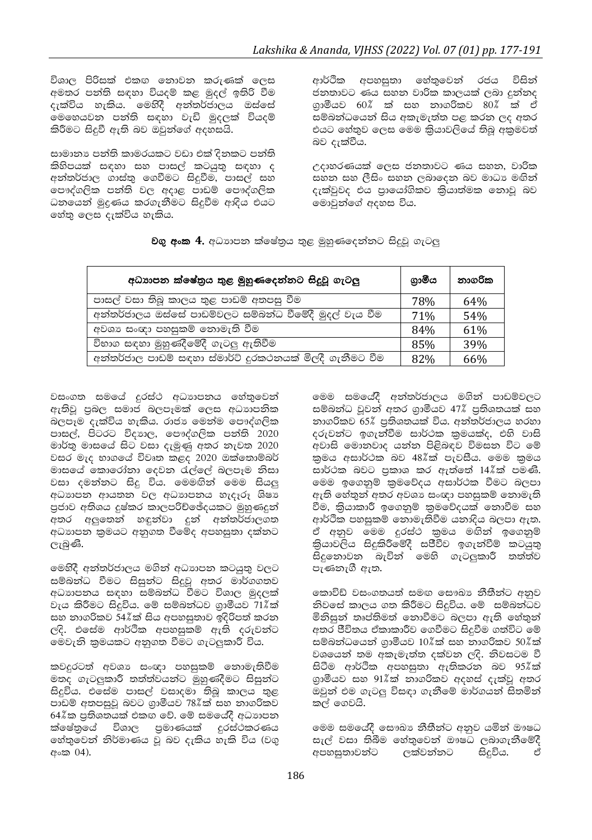විශාල පිරිසක් එකඟ නොවන කරුණක් ලෙස අමතර පන්ති සඳහා වියදම් කළ මුදල් ඉතිරි වීම දැක්විය හැකිය. මෙහිදී අන්තර්ජාලය ඔස්සේ මෙහෙයවන පන්ති සඳහා වැඩි මුදලක් වියදම් කිරීමට සිදුවී ඇති බව ඔවුන්ගේ අදහසයි.

සාමානා පන්ති කාමරයකට වඩා එක් දිනකට පන්ති කිහිපයක් සඳහා සහ පාසල් කටයුතු සඳහා ද අන්තර්ජාල ගාස්තු ගෙවීමට සිදුවීම, පාසල් සහ පෞද්ගලික පන්ති වල අදාළ පාඩම් පෞද්ගලික ධනයෙන් මුදුණය කරගැනීමට සිදුවීම ආදිය එයට හේතු ලෙස දැක්විය හැකිය.

ආර්ථික අපහසුතා හේතුවෙන් රජය විසින් ජනතාවට ණය සහන වාරික කාලයක් ලබා දුන්නද ගාමීයව 60% ක් සහ නාගරිකව 80% ක් ඒ සම්බන්ධයෙන් සිය අකැමැත්ත පළ කරන ලද අතර එයට හේතුව ලෙස මෙම කියාවලියේ තිබූ අකුමවත් බව දැක්වීය.

උදාහරණයක් ලෙස ජනතාවට ණය සහන, වාරික සහන සහ ලීසිං සහන ලබාදෙන බව මාධා මඟින් දැක්වුවද එය පායෝගිකව කියාත්මක නොවු බව මොවුන්ගේ අදහස විය.

| අධාාපන ක්ෂේතුය තුළ මුහුණදෙන්නට සිදුවූ ගැටලු              | ගුාමීය | නාගරික |
|----------------------------------------------------------|--------|--------|
| පාසල් වසා තිබූ කාලය තුළ පාඩම් අතපසු වීම                  | 78%    | 64%    |
| අන්තර්ජාලය ඔස්සේ පාඩම්වලට සම්බන්ධ වීමේදී මුදල් වැය වීම   | 71%    | 54%    |
| අවශා සංඥා පහසුකම් නොමැති වීම                             | 84%    | 61%    |
| විභාග සඳහා මුහුණදීමේදී ගැටලු ඇතිවීම                      | 85%    | 39%    |
| අන්තර්ජාල පාඩම් සඳහා ස්මාර්ට් දුරකථනයක් මිලදී ගැනීමට වීම | 82%    | 66%    |

වගු අංක 4. අධාහපන ක්ෂේතුය තුළ මුහුණදෙන්නට සිදුවූ ගැටලු

වසංගත සමයේ දුරස්ථ අධාහපනය හේතුවෙන් ඇතිවූ පුබල සමාජ බලපෑමක් ලෙස අධාහපනික බලපෑම දැක්විය හැකිය. රාජා මෙන්ම පෞද්ගලික පාසල්, පිටරට විදහල, පෞද්ගලික පන්ති 2020 මාර්තු මාසයේ සිට වසා දැමුණු අතර තැවත 2020 වසර මැද භාගයේ විවෘත කළද 2020 ඔක්තොම්බර් මාසයේ කොරෝනා දෙවන රැල්ලේ බලපෑම නිසා වසා දමන්නට සිදු විය. මෙමඟින් මෙම සියලු අධාහපන ආයතන වල අධාහපනය හැදෑරූ ශිෂා පුජාව අතිශය දුෂ්කර කාලපරිච්ඡේදයකට මුහුණදුන් අතර අලුතෙන් හඳුන්වා දුන් අන්තර්ජාලගත අධාහපන කුමයට අනුගත වීමේද අපහසුතා දක්නට ලැබුණි.

මෙහිදී අන්තර්ජාලය මගින් අධාහපන කටයුතු වලට සම්බන්ධ වීමට සිසුන්ට සිදුවූ අතර මාර්ගගතව අධාහපනය සඳහා සම්බන්ධ වීමට විශාල මුදලක් වැය කිරීමට සිදුවිය. මේ සම්බන්ධව ගුාමීයව 71%ක් සහ නාගරිකව 54%ක් සිය අපහසුතාව ඉදිරිපත් කරන ලදි. එසේම ආර්ථික අපහසුකම් ඇති දරුවන්ට මෙවැනි කුමයකට අනුගත වීමට ගැටලුකාරී විය.

කවදුරටත් අවශා සංඥා පහසුකම් නොමැතිවීම මතද ගැටලුකාරී තත්ත්වයන්ට මුහුණදීමට සිසුන්ට සිදුවිය. එසේම පාසල් වසාදමා තිබූ කාලය තුළ පාඩම් අතපසුවූ බවට ගුාමීයව 78%ක් සහ නාගරිකව 64%ක පුතිශතයක් එකඟ වේ. මේ සමයේදී අධාහපන ක්ෂේතුයේ විශාල පුමාණයක් දුරස්ථකරණය හේතුවෙන් නිර්මාණය වූ බව දැකිය හැකි විය (වගු අංක 04).

මෙම සමයේදී අන්තර්ජාලය මගින් පාඩම්වලට සම්බන්ධ වූවන් අතර ගුාමීයව 47% පුතිශතයක් සහ නාගරිකව 65% පුතිශතයක් විය. අන්තර්ජාලය හරහා දරුවන්ට ඉගැන්වීම සාර්ථක කුමයක්ද, එහි වාසි අවාසි මොනවාද යන්න පිළිබඳව විමසන විට මේ කුමය අසාර්ථක බව 48%ක් පැවසීය. මෙම කුමය සාර්ථක බවට පුකාශ කර ඇත්තේ 14%ක් පමණි. මෙම ඉගෙනුම් කුමවේදය අසාර්ථක වීමට බලපා ඇති හේතුන් අතර අවශා සංඥා පහසුකම් නොමැති වීම, කියාකාරී ඉගෙනුම් කුමවේදයක් නොවීම සහ ආර්ථික පහසුකම් නොමැතිවීම යනාදිය බලපා ඇත. ඒ අනුව මෙම දුරස්ථ කුමය මඟින් ඉගෙනුම් තියාවලිය සිදුකිරීමේදී සජීවීව ඉගැන්වීම් කටයුතු සිදුනොවන බැවින් මෙහි ගැටලකාරී තත්ත්ව පැණනැගී ඇත.

කොවිඩ් වසංගතයත් සමඟ සෞඛා නීතීන්ට අනුව නිවසේ කාලය ගත කිරීමට සිදුවිය. මේ සම්බන්ධව මිනිසුන් තෘප්තිමත් නොවීමට බලපා ඇති හේතුන් අතර ජීවිතය ඒකාකාරීව ගෙවීමට සිදුවීම ගත්විට මේ සම්බන්ධයෙන් ගුාමීයව 10%ක් සහ නාගරිකව 50%ක් වශයෙන් තම අකැමැත්ත දක්වන ලදි. නිවසටම වී සිටීම ආර්ථික අපහසුතා ඇතිකරන බව 95%ක් ගුාමීයව සහ 91%ක් නාගරිකව අදහස් දැක්වූ අතර ඔවුන් එම ගැටලු විසඳා ගැනීමේ මාර්ගයන් සිතමින් කල් ගෙවයි.

මෙම සමයේදී සෞඛා නීතීන්ට අනුව යමින් ඖෂධ සැල් වසා තිබීම හේතුවෙන් ඖෂධ ලබාගැනීමේදී අපහසුතාවන්ට ලක්වන්නට සිදුවිය. ഷ്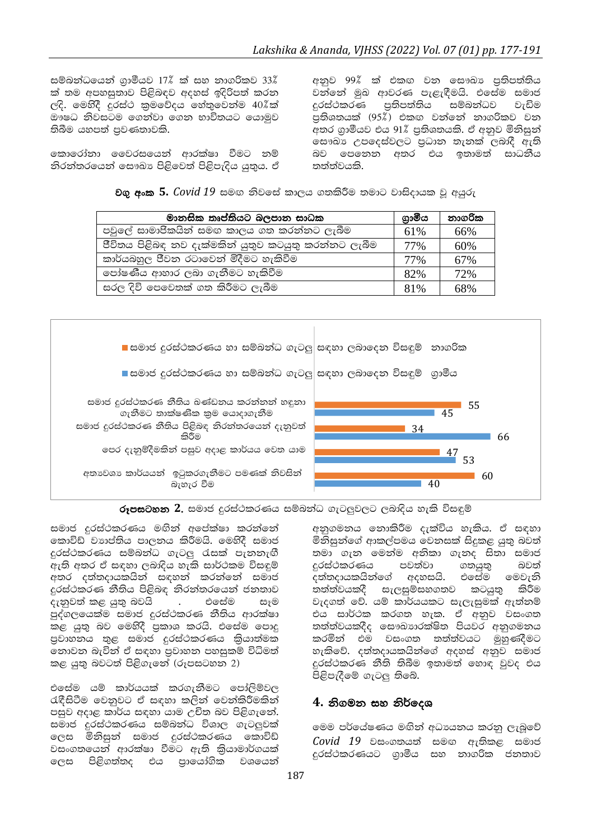සම්බන්ධයෙන් ගුාමීයව 17% ක් සහ නාගරිකව 33% ක් තම අපහසුතාව පිළිබඳව අදහස් ඉදිරිපත් කරන ලදි. මෙහිදී දුරස්ථ කුමවේදය හේතුවෙන්ම 40%ක් ඖෂධ නිවසටම ගෙන්වා ගෙන භාවිතයට යොමුව තිබීම යහපත් පුවණතාවකි.

කොරෝනා වෛරසයෙන් ආරක්ෂා වීමට නම් නිරත්තරයෙත් සෞඛා පිළිවෙත් පිළිපැදිය යුතුය. ඒ අනුව 99%් ක් එකඟ වන සෞඛා පුතිපත්තිය වන්නේ මුඛ ආවරණ පැළැඳීමයි. එසේම සමාජ දුරස්ථකරණ පුතිපත්තිය සම්බන්ධව වැඩිම පුතිශතයක් (95%ී) එකඟ වන්නේ නාගරිකව වන අතර ගාමීයව එය 91% පුතිශතයකි. ඒ අනුව මිනිසුන් සෞඛා උපදෙස්වලට පුධාන තැනක් ලබාදී ඇති බව පෙනෙන අතර එය ඉතාමත් සාධනීය තත්ත්වයකි.

වගු අංක 5.  $Covid$  19 සමඟ නිවසේ කාලය ගතකිරීම තමාට වාසිදායක වු අයුරු

| මානසික තෘප්තියට බලපාන සාධක                           | ගාමීය | නාගරික |
|------------------------------------------------------|-------|--------|
| පවුලේ සාමාජිකයින් සමඟ කාලය ගත කරන්නට ලැබීම           | 61%   | 66%    |
| ජීවිතය පිළිබඳ නව දැක්මකින් යුතුව කටයුතු කරන්නට ලැබීම | 77%   | 60%    |
| කාර්යබහුල ජීවන රටාවෙන් මිදීමට හැකිවීම                | 77%   | 67%    |
| පෝෂණීය ආහාර ලබා ගැනීමට හැකිවීම                       | 82%   | 72%    |
| සරල දිවි පෙවෙතක් ගත කිරීමට ලැබීම                     | 81%   | 68%    |



රූපසටහන 2. සමාජ දුරස්ථකරණය සම්බන්ධ ගැටලුවලට ලබාදිය හැකි විසඳුම්

සමාජ දුරස්ථකරණය මඟින් අපේක්ෂා කරන්නේ කොවිඩ් වාාප්තිය පාලනය කිරීමයි. මෙහිදී සමාජ දුරස්ථකරණය සම්බන්ධ ගැටලු රැසක් පැනනැඟී .<br>ඇති අතර ඒ සඳහා ලබාදිය හැකි සාර්ථකම විසඳුම් අතර දත්තදායකයින් සඳහන් කරන්නේ සමාජ දුරස්ථකරණ නීතිය පිළිබඳ නිරන්තරයෙන් ජනතාව දැනුවත් කළ යුතු බවයි . එසේම සෑම පුද්ගලයෙක්ම සමාජ දුරස්ථකරණ නීතිය ආරක්ෂා කළ යුතු බව මෙහිදී පුකාශ කරයි. එසේම පොදු පුවාහනය තුළ සමාජ දුරස්ථකරණය කිුයාත්මක නොවන බැවින් ඒ සඳහා පුවාහන පහසුකම් විධිමත් කළ යුතු බවටත් පිළිගැනේ (රූපසටහන 2)

එසේම යම් කාර්යයක් කරගැනීමට පෝලිම්වල රැඳීසිටීම වෙනුවට ඒ සඳහා කලින් වෙන්කිරීමකින් පසුව අදාළ කාර්ය සඳහා යාම උචිත බව පිළිගැනේ. සමාජ දුරස්ථකරණය සම්බන්ධ විශාල ගැටලුවක් ලෙස මිනිසුන් සමාජ දුරස්ථකරණය කොවිඩ් වසංගතයෙන් ආරක්ෂා වීමට ඇති කියාමාර්ගයක් ලෙස පිළිගත්තද එය පායෝගික වශයෙන් අනුගමනය නොකිරීම දැක්විය හැකිය. ඒ සඳහා මිනිසුන්ගේ ආකල්පමය වෙනසක් සිදුකළ යුතු බවත් තමා ගැන මෙන්ම අනිකා ගැනද සිතා සමාජ දුරස්ථකරණය පවත්වා ගතයුතු බවත් දත්තදායකයින්ගේ අදහසයි. එසේම මෙවැනි තත්ත්වයකදී සැලසුම්සහගතව කටයුතු කිරීම වැදගත් වේ. යම් කාර්යයකට සැලැසුමක් ඇත්තම් එය සාර්ථක කරගත හැක. ඒ අනුව වසංගත තත්ත්වයකදීද සෞඛාගරක්ෂිත පියවර අනුගමනය කරමින් එම වසංගත තත්ත්වයට මුහුණදීමට හැකිවේ. දත්තදායකයින්ගේ අදහස් අනුව සමාජ දුරස්ථකරණ නීති තිබීම ඉතාමත් හොඳ වුවද එය පිළිපැදීමේ ගැටලු තිබේ.

### 4. නිගමන සහ නිර්දෙශ

මෙම පර්යේෂණය මඟින් අධාපයනය කරනු ලැබුවේ  $Covid$  19 වසංගතයත් සමඟ ඇතිකළ සමාජ දූරස්ථකරණයට ගුාමීය සහ නාගරික ජනතාව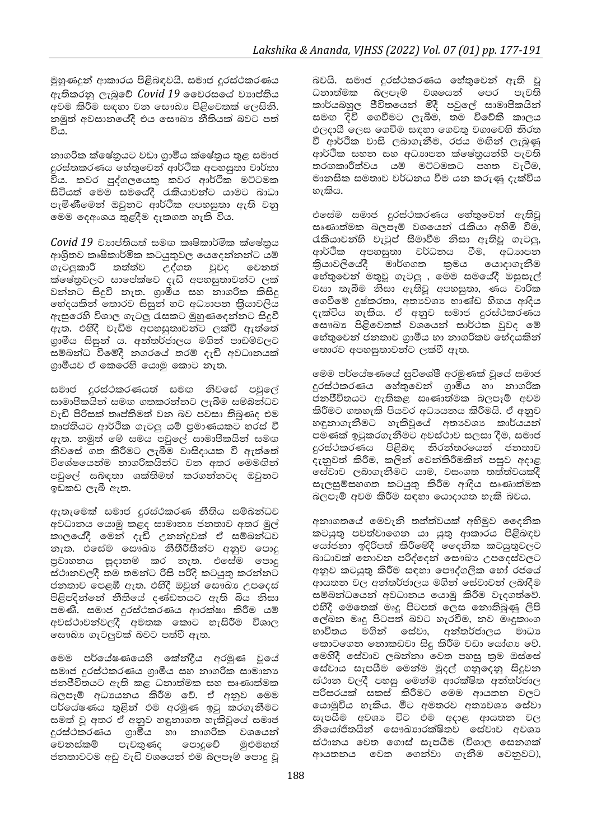මුහුණදුන් ආකාරය පිළිබඳවයි. සමාජ දුරස්ථකරණය ඇතිකරනු ලැබුවේ Covid 19 වෛරසයේ වහාප්තිය අවම කිරීම සඳහා වන සෞඛා පිළිවෙතක් ලෙසිනි. නමුත් අවසානයේදී එය සෞඛා නීතියක් බවට පත් විය.

නාගරික ක්ෂේතුයට වඩා ගුාමීය ක්ෂේතුය තුළ සමාජ දුරස්තකරණය හේතුවෙන් ආර්ථික අපහසුතා වාර්තා විය. කවර පුද්ගලයෙකු කවර ආර්ථික මට්ටමක සිටියත් මෙම සමයේදී රැකියාවන්ට යාමට බාධා පැමිණීමෙන් ඔවුනට ආර්ථික අපහසුතා ඇති වනු මෙම දෙඅංශය තුළදීම දැකගත හැකි විය.

 $Covid$   $19$  වාාප්තියත් සමඟ කෘෂිකාර්මික ක්ෂේතුය ආශිතව කෘෂිකාර්මික කටයුතුවල යෙදෙන්නන්ට යම් ගැටලුකාරී තත්ත්ව උද්ගත වුවද වෙනත් ක්ෂේතුවලට සාපේක්ෂව දැඩි අපහසුතාවන්ට ලක් වන්නට සිදුවී නැත. ගුාමීය සහ නාගරික කිසිදු ඇසුරෙහි විශාල ගැටලු රැසකට මුහුණදෙන්නට සිදුවී ඇත. එහිදී වැඩිම අපහසුතාවන්ට ලක්වී ඇත්තේ ගුාමීය සිසුන් ය. අන්තර්ජාලය මගින් පාඩම්වලට සම්බන්ධ වීමේදී නගරයේ තරම් දැඩි අවධානයක් ගුාමීයව ඒ කෙරෙහි යොමු කොට තැත.

සමාජ දුරස්ථකරණයත් සමඟ නිවසේ පවුලේ සාමාපිිකයින් සමඟ ගතකරන්නට ලැබීම සම්බන්ධව වැඩි පිරිසක් තෘප්තිමත් වන බව පවසා තිබුණද එම තෘප්තියට ආර්ථික ගැටලු යම් පුමාණයකට හරස් වී ඇත. නමුත් මේ සමය පවුලේ සාමාජිකයින් සමඟ නිවසේ ගත කිරීමට ලැබීම වාසිදායක වී ඇත්තේ විශේෂයෙන්ම නාගරිකයින්ට වන අතර මෙමඟින් පවුලේ සබඳතා ශක්තිමත් කරගන්නටද ඔවුනට ඉඩකඩ ලැබී ඇත.

ඇතැමෙක් සමාජ දුරස්ථකරණ නීතිය සම්බන්ධව අවධානය යොමු කළද සාමානා ජනතාව අතර මුල් කාලයේදී මෙන් දැඩි උනන්දුවක් ඒ සම්බන්ධව නැත. එසේම සෞඛා නීතීරීතීන්ට අනුව පොදු පුවාහනය සූදානම් කර නැත. එසේම පොදු ස්ථානවලදී තම තමන්ට රිසි පරිදි කටයුතු කරන්නට ජනතාව පෙළඹී ඇත. එහිදී ඔවුන් සෞඛා උපදෙස් පිළිපදින්නේ නීතියේ දණ්ඩනයට ඇති බිය නිසා පමණි. සමාජ දුරස්ථකරණය ආරක්ෂා කිරීම යම් අවස්ථාවන්වලදී අමතක කොට හැසිරීම විශාල සෞඛා ගැටලුවක් බවට පත්වී ඇත.

මෙම පර්යේෂණයෙහි කේන්දීය අරමුණ වූයේ සමාජ දුරස්ථකරණය ගුාමීය සහ නාගරික සාමානා ජනපීිවිතයට ඇති කළ ධනාත්මක සහ සෘණාත්මක බලපෑම් අධායනය කිරීම වේ. ඒ අනුව මෙම පර්යේෂණය තුළින් එම අරමණ ඉටු කරගැනීමට සමත් වූ අතර ඒ අනුව හඳුනාගත හැකිවූයේ සමාජ දුරස්ථකරණය ගුාමිය හා නාගරික වශයෙන් පැවතුණද පොදුවේ වෙනස්කම් මුළුමහත් ජනතාවටම අඩු වැඩි වශයෙන් එම බලපෑම් පොදු වූ බවයි. සමාජ දුරස්ථකරණය හේතුවෙන් ඇති වූ ධනාත්මක බලපෑම් වශයෙන් පෙර පැවති කාර්යබහුල පීචිතයෙන් මිදී පවුලේ සාමාජිකයින් සමඟ දිවි ගෙවීමට ලැබීම, තම විවේකී කාලය ඵලදායී ලෙස ගෙවීම සඳහා ගෙවතු වගාවෙහි නිරත වී ආර්ථික වාසි ලබාගැනීම, රජය මඟින් ලැබුණු ආර්ථික සහන සහ අධාහපන ක්ෂේතුයන්හි පැවති තරඟකාරීත්වය යම් මට්ටමකට පහත වැටීම, මානසික සමතාව වර්ධනය වීම යන කරුණු දැක්විය හැකිය.

එසේම සමාජ දුරස්ථකරණය හේතුවෙන් ඇතිවූ සෘණාත්මක බලපෑම් වශයෙන් රැකියා අහිමි වීම. රැකියාවන්හි වැටුප් සීමාවීම නිසා ඇතිවු ගැටලු, ආර්ථික අපහසුතා වර්ධනය වීම, අධාහපන මාර්ගගත කුමය යොදාගැනීම කියාවලියේදී හේතුවෙන් මතුවූ ගැටලු , මෙම සමයේදී ඔසුසැල් වසා තැබීම නිසා ඇතිවූ අපහසුතා, ණය වාරික ගෙවීමේ දුෂ්කරතා, අතාවශා භාණ්ඩ හිඟය ආදිය දැක්විය හැකිය. ඒ අනුව සමාජ දුරස්ථකරණය සෞඛා පිළිවෙතක් වශයෙන් සාර්ථක වුවද මේ හේතුවෙන් ජනතාව ගුාමීය හා නාගරිකව භේදයකින් තොරව අපහසුතාවන්ට ලක්වී ඇත.

මෙම පර්යේෂණයේ සුවිශේෂී අරමුණක් වුයේ සමාජ දුරස්ථකරණය හේතුවෙන් ගුාමිය හා නාගරික ජනපීිවිතයට ඇතිකළ සෘණාත්මක බලපෑම් අවම කිරීමට ගතහැකි පියවර අධායනය කිරීමයි. ඒ අනුව හඳුනාගැනීමට හැකිවුයේ අතාවශා කාර්යයන් පමණක් ඉටුකරගැනීමට අවස්ථාව සලසා දීම, සමාජ දුරස්ථකරණය පිළිබඳ නිරන්තරයෙන් ජනතාව දැනුවත් කිරීම, කලින් වෙන්කිරීමකින් පසුව අදාළ සේවාව ලබාගැනීමට යාම, වසංගත තත්ත්වයකදී සැලසුම්සහගත කටයුතු කිරීම ආදිය සෘණාත්මක බලපෑම් අවම කිරීම සඳහා යොදාගත හැකි බවය.

අනාගතයේ මෙවැනි තත්ත්වයක් අභිමුව දෛනික කටයුතු පවත්වාගෙන යා යුතු ආකාරය පිළිබඳව යෝජනා ඉදිරිපත් කිරීමේදී මෛතික කටයුතුවලට බාධාවක් නොවන පරිද්දෙන් සෞඛා උපදෙස්වලට අනුව කටයුතු කිරීම සඳහා පෞද්ගලික හෝ රජයේ ආයතන වල අන්තර්ජාලය මගින් සේවාවන් ලබාදීම සම්බන්ධයෙන් අවධානය යොමු කිරීම වැදගත්වේ. එහිදී මෙතෙක් මෘදු පිටපත් ලෙස නොතිබුණු ලිපි ලල්ඛන මෘදු පිටපත් බවට හැරවීම, නව මෘදුකාංග භාවිතය මගින් සේවා, අන්තර්ජාලය මාධා කොටගෙන නොකඩවා සිදු කිරීම වඩා යෝගා වේ. මෙහිදී සේවාව ලබන්නා වෙත පහසු කුම ඔස්සේ සේවාය සැපයීම මෙන්ම මුදල් ගනුදෙනු සිදුවන ස්ථාන වලදී පහසු මෙන්ම ආරක්ෂිත අන්තර්ජාල පරිසරයක් සකස් කිරීමට මෙම ආයතන වලට යොමුවිය හැකිය. මීට අමතරව අතාවශා සේවා සැපයීම අවශා විට එම අදාළ ආයතන වල නියෝජිතයින් සෞඛාගරක්ෂිතව සේවාව අවශා ස්ථානය වෙත ගොස් සැපයීම (විශාල සෙනගක් ආයතනය වෙත ගෙන්වා ගැනීම වෙනුවට),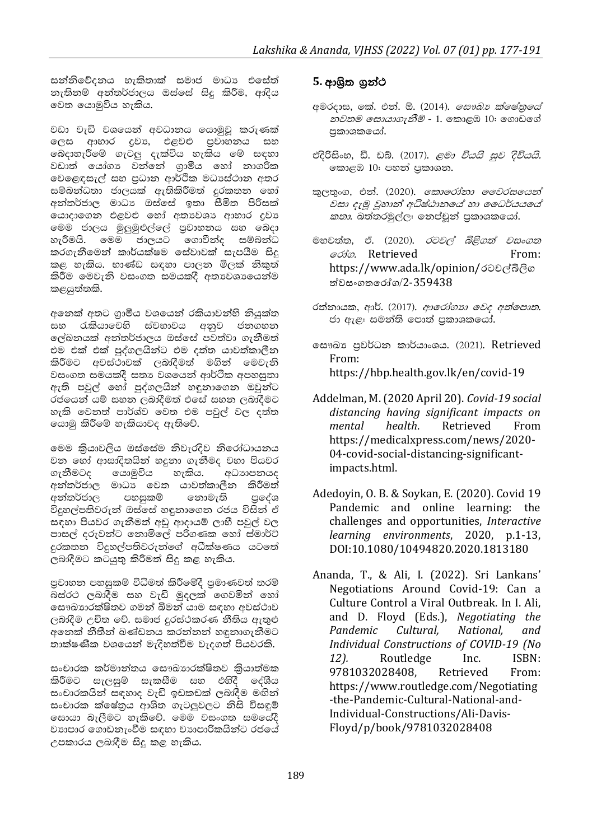සන්නිවේදනය හැකිතාක් සමාජ මාධා එසේත් නැතිනම් අන්තර්ජාලය ඔස්සේ සිදු කිරීම, ආදිය වෙත යොමුවිය හැකිය.

වඩා වැඩි වශයෙන් අවධානය යොමුවු කරුණක් ලෙස ආහාර දුවා, එළවළු පුවාහනය සහ බෙදාහැරීමේ ගැටලු දැක්විය හැකිය මේ සඳහා වඩාත් යෝගා වන්නේ ගුාමීය හෝ නාගරික වෙළෙඳසැල් සහ පුධාන ආර්ථික මධාස්ථාන අතර සම්බන්ධතා ජාලයක් ඇතිකිරීමත් දුරකතන හෝ අන්තර්ජාල මාධා ඔස්සේ ඉතා සීමිත පිරිසක් යොදාගෙන එළවළු හෝ අතාවශා ආහාර දුවා මෙම ජාලය මුලුමුළුල්ලේ පුවාහනය සහ බෙදා හැරීමයි. මෙම ජාලයට ගොවීන්ද සම්බන්ධ කරගැනීමෙන් කාර්යක්ෂම සේවාවක් සැපයීම සිදු කළ හැකිය. භාණ්ඩ සඳහා පාලන මිලක් නිකුත් කිරීම මෙවැනි වසංගත සමයකදී අතාවශාංයෙන්ම කළයුත්තකි.

අනෙක් අතට ගාමීය වශයෙන් රකියාවන්හි නියක්ත .<br>සහ රැකියාවෙහි ස්වභාවය අනුව ජනගහන ලේඛනයක් අන්තර්ජාලය ඔස්සේ පවත්වා ගැනීමත් එම එක් එක් පුද්ගලයින්ට එම දත්ත යාවත්කාලීන කිරීමට අවස්ථාවක් ලබාදීමත් මගින් මෙවැනි වසංගත සමයකදී සතා වශයෙන් ආර්ථික අපහසුතා ඇති පවුල් හෝ පුද්ගලයින් හඳුනාගෙන ඔවුන්ට රජයෙන් යම් සහන ලබාදීමත් එසේ සහන ලබාදීමට හැකි වෙනත් පාර්ශ්ව වෙත එම පවුල් වල දත්ත යොමු කිරීමේ හැකියාවද ඇතිවේ.

මෙම කියාවලිය ඔස්සේම නිවැරදිව නිරෝධායනය වන හෝ ආසාදිතයින් හදුනා ගැනීමද වහා පියවර ගැනීමටද යොමුවිය හැකිය. අධාහපනයද අන්තර්ජාල මාධා වෙත යාවත්කාලීන කිරීමත් අන්තර්ජාල පහසුකම් නොමැති පුරේශ විදුහල්පතිවරුන් ඔස්සේ හඳුනාගෙන රජය විසින් ඒ සඳහා පියවර ගැනීමත් අඩු ආදායම් ලාභී පවුල් වල පාසල් දරුවන්ට නොමිලේ පරිගණක හෝ ස්මාර්ට් දුරකතන විදුහල්පතිවරුන්ගේ අධීක්ෂණය යටතේ ලබාදීමට කටයුතු කිරීමත් සිදු කළ හැකිය.

පුවාහන පහසුකම් විධිමත් කිරීමේදී පුමාණවත් තරම් බස්රථ ලබාදීම සහ වැඩි මුදලක් ගෙවමින් හෝ සෞඛාගරක්ෂිතව ගමන් බිමන් යාම සඳහා අවස්ථාව ලබාදීම උචිත වේ. සමාජ දුරස්ථකරණ නීතිය ඇතුළු අනෙක් නීතීන් බණ්ඩනය කරන්නන් හඳුනාගැනීමට තාක්ෂණික වශයෙන් මැදිහත්වීම වැදගත් පියවරකි.

සංචාරක කර්මාන්තය සෞඛාාරක්ෂිතව කියාත්මක කිරීමට සැලසුම් සැකසීම සහ එහිදී දේශීය සංචාරකයින් සඳහාද වැඩි ඉඩකඩක් ලබාදීම මඟින් සංචාරක ක්ෂේතුය ආශිත ගැටලුවලට නිසි විසඳුම් සොයා බැලීමට හැකිවේ. මෙම වසංගත සමයේදී වාහපාර ගොඩනැංවීම සඳහා වාහපාරිකයින්ට රජයේ උපකාරය ලබාදීම සිදු කළ හැකිය.

## 5. ආශිත ගුන්ථ

- අමරදාස, තේ. එන්. ඕ. (2014). *සෞඛා ක්ෂේතුයේ නවතම ලසායාගැනීම් -* 1. කොළඹ 10: ගොඩගේ පකාශකයෝ.
- එදිරිසිංහ, ඩී. ඩබ්. (2017). *ළමා වියයි සුව දිවියයි.* කොළඹ 10: පහන් පකාශන.
- කුලතුංග, එන්. (2020). *කොරෝනා වෛරසයෙන්* වසා දැමු වුහාන් අධිෂ්ඨානයේ හා ධෛර්යයයේ කතා. බත්තරමුල්ල: තෙප්චූන් පුකාශකයෝ.
- මහවත්ත, ඒ. (2020). *රටවල් බිළිගත් වසංගත* @csto. Retrieved From: https://www.ada.lk/opinion/රටවල්බිලිග ත්වසංගතරෝග/2-359438
- රත්නායක, ආර්. (2017). ආරෝගහ වෙද අත්පොත. ජා ඇළ: සමන්ති පොත් පුකාශකයෝ.
- ලසෟඛා පුවර්ධන කාර්යාංශය. (2021). Retrieved From: https://hbp.health.gov.lk/en/covid-19
- Addelman, M. (2020 April 20). Covid-19 social distancing having significant impacts on mental health. Retrieved From https://medicalxpress.com/news/2020-04-covid-social-distancing-significantimpacts.html.
- Adedoyin, O. B. & Soykan, E. (2020). Covid 19 Pandemic and online learning: the challenges and opportunities, Interactive learning environments, 2020, p.1-13, DOI:10.1080/10494820.2020.1813180
- Ananda, T., & Ali, I. (2022). Sri Lankans' Negotiations Around Covid-19: Can a Culture Control a Viral Outbreak. In I. Ali. and D. Floyd (Eds.), Negotiating the Pandemic Cultural, National, and Individual Constructions of COVID-19 (No Routledge  $12$ .  $Inc$  $ISBN-$ 9781032028408. Retrieved From: https://www.routledge.com/Negotiating -the-Pandemic-Cultural-National-and-Individual-Constructions/Ali-Davis-Floyd/p/book/9781032028408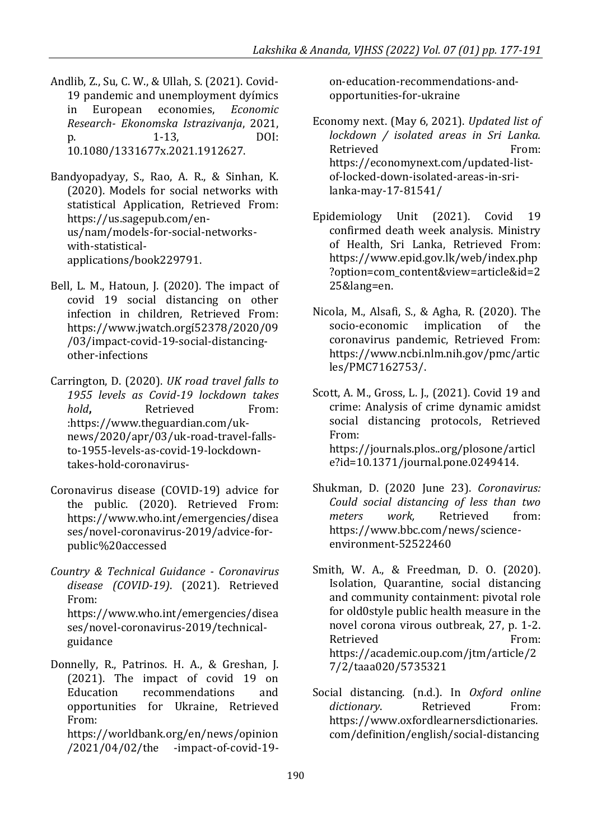- Andlib, Z., Su, C. W., & Ullah, S. (2021). Covid-19 pandemic and unemployment dyímics in European economies, *Economic Research- Ekonomska Istrazivanja*, 2021, p. 1-13, DOI: 10.1080/1331677x.2021.1912627.
- Bandyopadyay, S., Rao, A. R., & Sinhan, K. (2020). Models for social networks with statistical Application, Retrieved From: [https://us.sagepub.com/en](https://us.sagepub.com/en-us/nam/models-for-social-networks-with-statistical-applications/book229791)[us/nam/models-for-social-networks](https://us.sagepub.com/en-us/nam/models-for-social-networks-with-statistical-applications/book229791)[with-statistical](https://us.sagepub.com/en-us/nam/models-for-social-networks-with-statistical-applications/book229791)[applications/book229791.](https://us.sagepub.com/en-us/nam/models-for-social-networks-with-statistical-applications/book229791)
- Bell, L. M., Hatoun, J. (2020). The impact of covid 19 social distancing on other infection in children*,* Retrieved From: [https://www.jwatch.orgí52378/2020/09](https://www.jwatch.orgí52378/2020/09/03/impact-covid-19-social-distancing-other-infections) [/03/impact-covid-19-social-distancing](https://www.jwatch.orgí52378/2020/09/03/impact-covid-19-social-distancing-other-infections)[other-infections](https://www.jwatch.orgí52378/2020/09/03/impact-covid-19-social-distancing-other-infections)
- Carrington, D. (2020). *UK road travel falls to 1955 levels as Covid-19 lockdown takes hold***,** Retrieved From: [:https://www.theguardian.com/uk](https://www.theguardian.com/uk-news/2020/apr/03/uk-road-travel-falls-to-1955-levels-as-covid-19-lockdown-takes-hold-coronavirus-traffic)[news/2020/apr/03/uk-road-travel-falls](https://www.theguardian.com/uk-news/2020/apr/03/uk-road-travel-falls-to-1955-levels-as-covid-19-lockdown-takes-hold-coronavirus-traffic)[to-1955-levels-as-covid-19-lockdown](https://www.theguardian.com/uk-news/2020/apr/03/uk-road-travel-falls-to-1955-levels-as-covid-19-lockdown-takes-hold-coronavirus-traffic)[takes-hold-coronavirus-](https://www.theguardian.com/uk-news/2020/apr/03/uk-road-travel-falls-to-1955-levels-as-covid-19-lockdown-takes-hold-coronavirus-traffic)
- Coronavirus disease (COVID-19) advice for the public. (2020). Retrieved From: [https://www.who.int/emergencies/disea](https://www.who.int/emergencies/diseases/novel-coronavirus-2019/advice-for-public%20accessed) [ses/novel-coronavirus-2019/advice-for](https://www.who.int/emergencies/diseases/novel-coronavirus-2019/advice-for-public%20accessed)[public%20accessed](https://www.who.int/emergencies/diseases/novel-coronavirus-2019/advice-for-public%20accessed)
- *Country & Technical Guidance - Coronavirus disease (COVID-19)*. (2021). Retrieved From: https://www.who.int/emergencies/disea ses/novel-coronavirus-2019/technicalguidance
- Donnelly, R., Patrinos. H. A., & Greshan, J. (2021). The impact of covid 19 on Education recommendations and opportunities for Ukraine, Retrieved From: https://worldbank.org/en/news/opinion

/2021/04/02/the -impact-of-covid-19-

on-education-recommendations-andopportunities-for-ukraine

Economy next. (May 6, 2021). *Updated list of lockdown / isolated areas in Sri Lanka.*  Retrieved From: [https://economynext.com/updated-list](https://economynext.com/updated-list-of-locked-down-isolated-areas-in-sri-lanka-may-17-81541/)[of-locked-down-isolated-areas-in-sri](https://economynext.com/updated-list-of-locked-down-isolated-areas-in-sri-lanka-may-17-81541/)[lanka-may-17-81541/](https://economynext.com/updated-list-of-locked-down-isolated-areas-in-sri-lanka-may-17-81541/)

- Epidemiology Unit (2021). Covid 19 confirmed death week analysis. Ministry of Health, Sri Lanka, Retrieved From: [https://www.epid.gov.lk/web/index.php](https://www.epid.gov.lk/web/index.php?option=com_content&view=article&id=225&lang=en) [?option=com\\_content&view=article&id=2](https://www.epid.gov.lk/web/index.php?option=com_content&view=article&id=225&lang=en) [25&lang=en.](https://www.epid.gov.lk/web/index.php?option=com_content&view=article&id=225&lang=en)
- Nicola, M., Alsafi, S., & Agha, R. (2020). The socio-economic implication of the coronavirus pandemic, Retrieved From: [https://www.ncbi.nlm.nih.gov/pmc/artic](https://www.ncbi.nlm.nih.gov/pmc/articles/PMC7162753/) [les/PMC7162753/.](https://www.ncbi.nlm.nih.gov/pmc/articles/PMC7162753/)
- Scott, A. M., Gross, L. J., (2021). Covid 19 and crime: Analysis of crime dynamic amidst social distancing protocols, Retrieved From: https://journals.plos..org/plosone/articl e?id=10.1371/journal.pone.0249414.
- Shukman, D. (2020 June 23). *Coronavirus: Could social distancing of less than two meters work,* Retrieved from: [https://www.bbc.com/news/science](https://www.bbc.com/news/science-environment-52522460)[environment-52522460](https://www.bbc.com/news/science-environment-52522460)
- Smith, W. A., & Freedman, D. O. (2020). Isolation, Quarantine, social distancing and community containment: pivotal role for old0style public health measure in the novel corona virous outbreak, 27, p. 1-2. Retrieved From: https://academic.oup.com/jtm/article/2 7/2/taaa020/5735321
- Social distancing. (n.d.). In *Oxford online*  dictionary. Retrieved From: [https://www.oxfordlearnersdictionaries.](https://www.oxfordlearnersdictionaries.com/definition/english/social-distancing) [com/definition/english/social-distancing](https://www.oxfordlearnersdictionaries.com/definition/english/social-distancing)